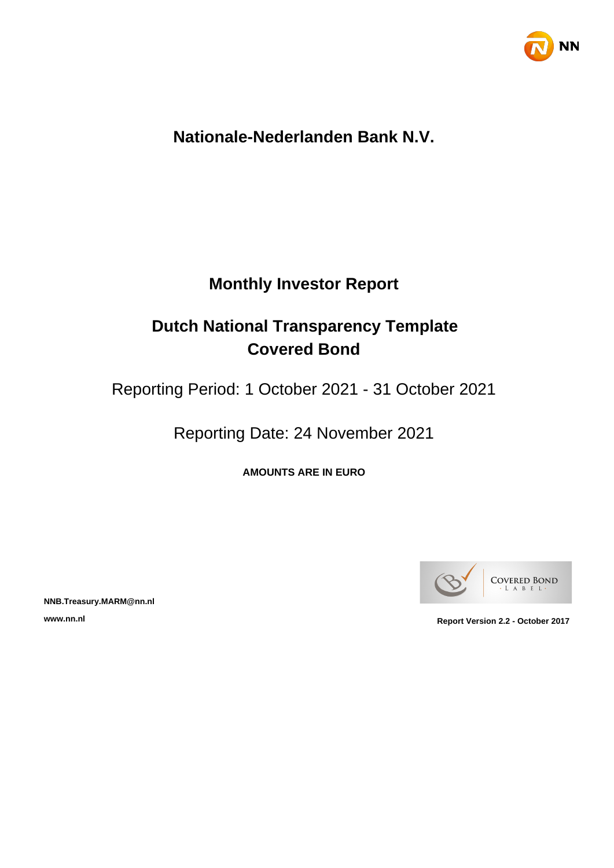

## **Nationale-Nederlanden Bank N.V.**

## **Monthly Investor Report**

# **Dutch National Transparency Template Covered Bond**

Reporting Period: 1 October 2021 - 31 October 2021

Reporting Date: 24 November 2021

**AMOUNTS ARE IN EURO**



**NNB.Treasury.MARM@nn.nl**

**www.nn.nl Report Version 2.2 - October 2017**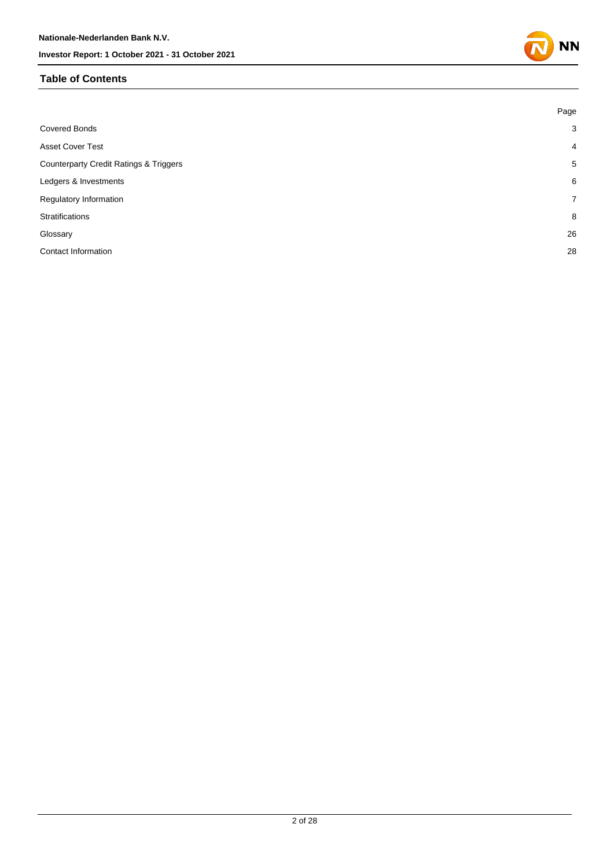#### **Table of Contents**

|                                                   | Page           |
|---------------------------------------------------|----------------|
| <b>Covered Bonds</b>                              | $\mathbf{3}$   |
| <b>Asset Cover Test</b>                           | $\overline{4}$ |
| <b>Counterparty Credit Ratings &amp; Triggers</b> | 5              |
| Ledgers & Investments                             | 6              |
| Regulatory Information                            | $\overline{7}$ |
| <b>Stratifications</b>                            | 8              |
| Glossary                                          | 26             |
| Contact Information                               | 28             |

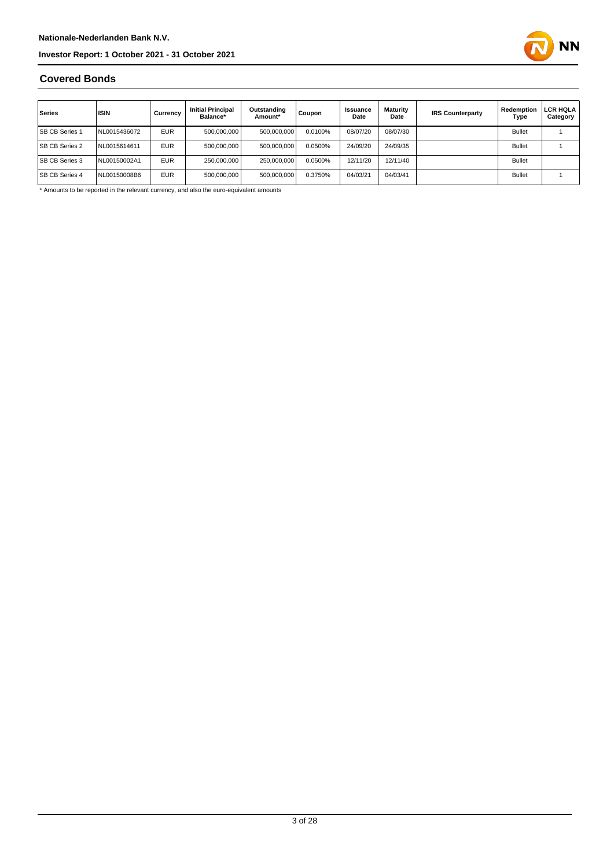

#### **Covered Bonds**

| Series                | <b>ISIN</b>  | Currency   | <b>Initial Principal</b><br>Balance* | Outstanding<br>Amount* | Coupon  | Issuance<br>Date | Maturity<br>Date | <b>IRS Counterparty</b> | Redemption<br>Type | LCR HQLA<br>Category |
|-----------------------|--------------|------------|--------------------------------------|------------------------|---------|------------------|------------------|-------------------------|--------------------|----------------------|
| <b>SB CB Series 1</b> | NL0015436072 | <b>EUR</b> | 500,000,000                          | 500,000,000            | 0.0100% | 08/07/20         | 08/07/30         |                         | <b>Bullet</b>      |                      |
| <b>SB CB Series 2</b> | NL0015614611 | <b>EUR</b> | 500.000.000                          | 500,000,000            | 0.0500% | 24/09/20         | 24/09/35         |                         | <b>Bullet</b>      |                      |
| <b>SB CB Series 3</b> | NL00150002A1 | <b>EUR</b> | 250,000,000                          | 250.000.000            | 0.0500% | 12/11/20         | 12/11/40         |                         | <b>Bullet</b>      |                      |
| <b>SB CB Series 4</b> | NL00150008B6 | <b>EUR</b> | 500,000,000                          | 500,000,000            | 0.3750% | 04/03/21         | 04/03/41         |                         | <b>Bullet</b>      |                      |

\* Amounts to be reported in the relevant currency, and also the euro-equivalent amounts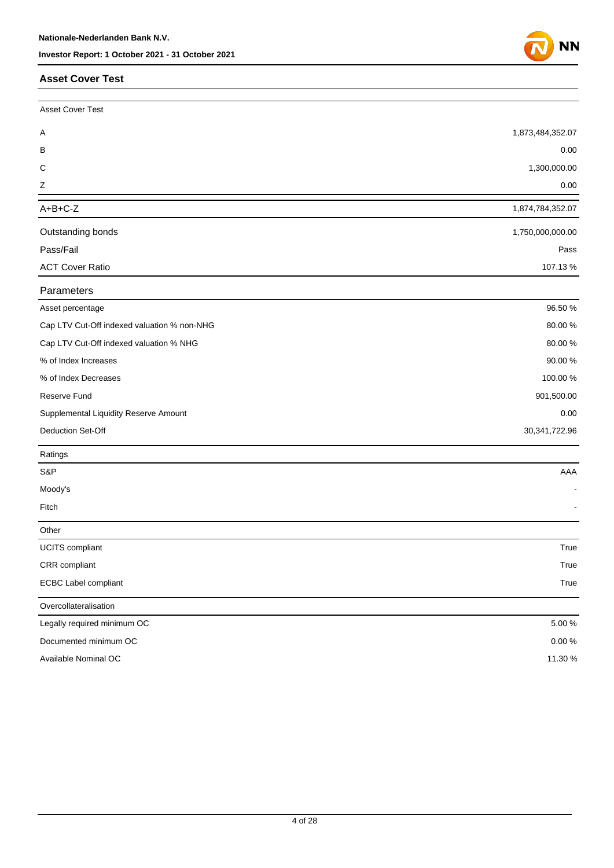#### **Asset Cover Test**

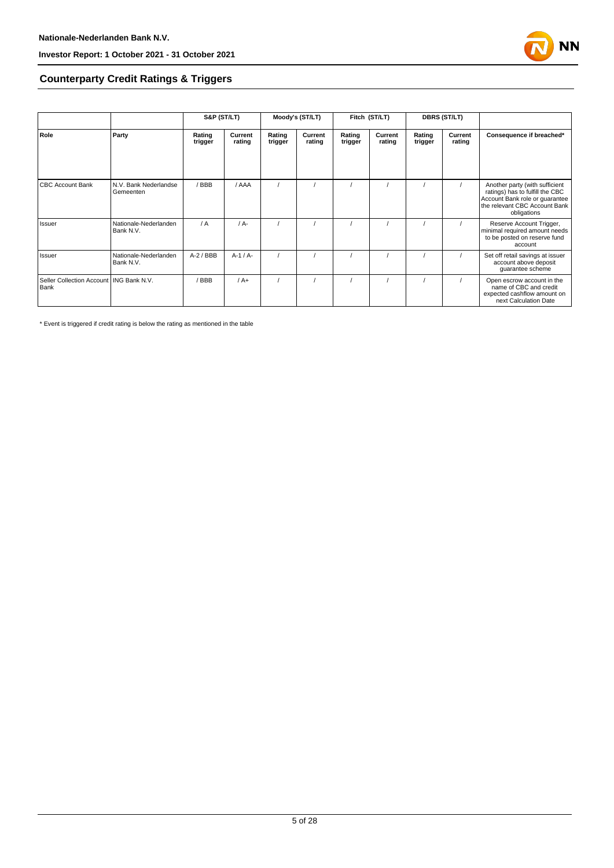

#### **Counterparty Credit Ratings & Triggers**

|                                                   |                                    | S&P (ST/LT)       |                   | Moody's (ST/LT)   |                   | Fitch (ST/LT)     |                   | <b>DBRS (ST/LT)</b> |                   |                                                                                                                                                     |  |
|---------------------------------------------------|------------------------------------|-------------------|-------------------|-------------------|-------------------|-------------------|-------------------|---------------------|-------------------|-----------------------------------------------------------------------------------------------------------------------------------------------------|--|
| Role                                              | Party                              | Rating<br>trigger | Current<br>rating | Rating<br>trigger | Current<br>rating | Rating<br>trigger | Current<br>rating | Rating<br>trigger   | Current<br>rating | Consequence if breached*                                                                                                                            |  |
| <b>CBC Account Bank</b>                           | N.V. Bank Nederlandse<br>Gemeenten | / BBB             | / AAA             |                   |                   |                   |                   |                     |                   | Another party (with sufficient<br>ratings) has to fulfill the CBC<br>Account Bank role or guarantee<br>the relevant CBC Account Bank<br>obligations |  |
| Issuer                                            | Nationale-Nederlanden<br>Bank N.V. | / A               | $/A$ -            |                   |                   |                   |                   |                     |                   | Reserve Account Trigger,<br>minimal required amount needs<br>to be posted on reserve fund<br>account                                                |  |
| Issuer                                            | Nationale-Nederlanden<br>Bank N.V. | $A-2$ / BBB       | $A-1/A-$          |                   |                   |                   |                   |                     |                   | Set off retail savings at issuer<br>account above deposit<br>guarantee scheme                                                                       |  |
| Seller Collection Account   ING Bank N.V.<br>Bank |                                    | BBB               | $/A+$             |                   |                   |                   |                   |                     |                   | Open escrow account in the<br>name of CBC and credit<br>expected cashflow amount on<br>next Calculation Date                                        |  |

\* Event is triggered if credit rating is below the rating as mentioned in the table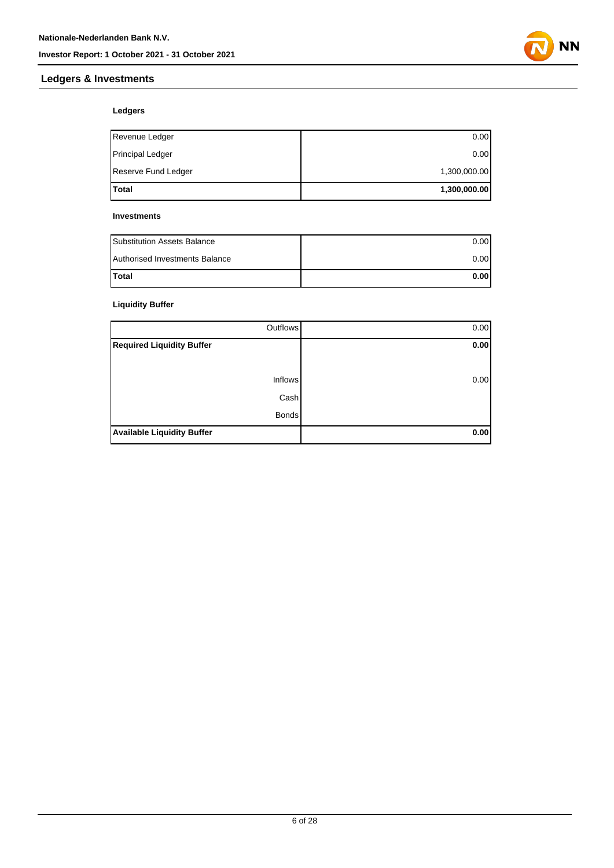



#### **Ledgers**

| <b>Total</b>            | 1,300,000.00 |
|-------------------------|--------------|
| Reserve Fund Ledger     | 1,300,000.00 |
| <b>Principal Ledger</b> | 0.00         |
| Revenue Ledger          | 0.00         |

#### **Investments**

| <b>Substitution Assets Balance</b> | 0.001 |
|------------------------------------|-------|
| Authorised Investments Balance     | 0.001 |
| <b>Total</b>                       | 0.00  |

#### **Liquidity Buffer**

| Outflows                          | 0.00 |
|-----------------------------------|------|
| <b>Required Liquidity Buffer</b>  | 0.00 |
|                                   |      |
| <b>Inflows</b>                    | 0.00 |
| Cash                              |      |
| <b>Bonds</b>                      |      |
| <b>Available Liquidity Buffer</b> | 0.00 |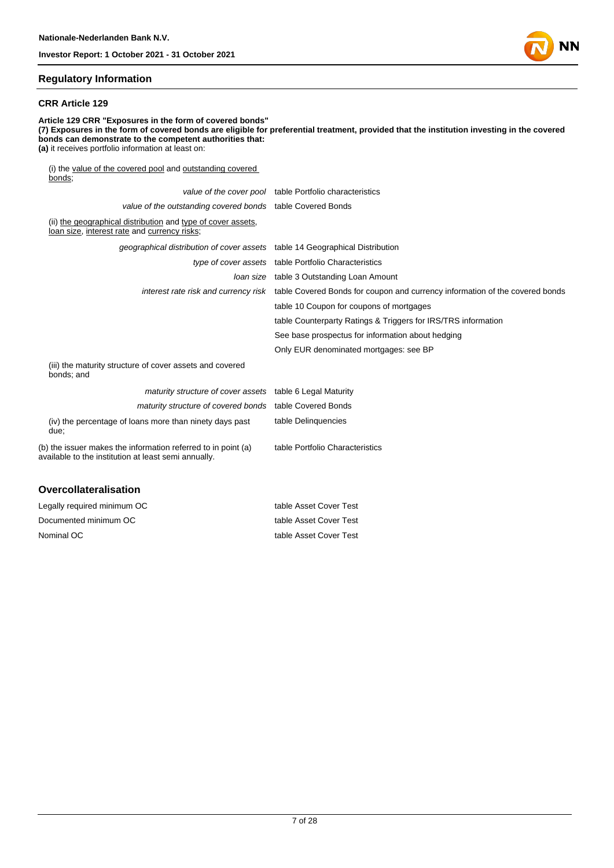#### **Regulatory Information**

#### **CRR Article 129**

**Article 129 CRR "Exposures in the form of covered bonds" (7) Exposures in the form of covered bonds are eligible for preferential treatment, provided that the institution investing in the covered bonds can demonstrate to the competent authorities that: (a)** it receives portfolio information at least on: (i) the value of the covered pool and outstanding covered bonds; value of the cover pool table Portfolio characteristics value of the outstanding covered bonds table Covered Bonds (ii) the geographical distribution and type of cover assets, loan size, interest rate and currency risks; geographical distribution of cover assets table 14 Geographical Distribution

|                                                                                                                       | type of cover assets table Portfolio Characteristics                                                              |
|-----------------------------------------------------------------------------------------------------------------------|-------------------------------------------------------------------------------------------------------------------|
|                                                                                                                       | <i>loan size</i> table 3 Outstanding Loan Amount                                                                  |
|                                                                                                                       | interest rate risk and currency risk table Covered Bonds for coupon and currency information of the covered bonds |
|                                                                                                                       | table 10 Coupon for coupons of mortgages                                                                          |
|                                                                                                                       | table Counterparty Ratings & Triggers for IRS/TRS information                                                     |
|                                                                                                                       | See base prospectus for information about hedging                                                                 |
|                                                                                                                       | Only EUR denominated mortgages: see BP                                                                            |
| (iii) the maturity structure of cover assets and covered<br>bonds; and                                                |                                                                                                                   |
| maturity structure of cover assets table 6 Legal Maturity                                                             |                                                                                                                   |
| maturity structure of covered bonds table Covered Bonds                                                               |                                                                                                                   |
| (iv) the percentage of loans more than ninety days past<br>due;                                                       | table Delinguencies                                                                                               |
| (b) the issuer makes the information referred to in point (a)<br>available to the institution at least semi annually. | table Portfolio Characteristics                                                                                   |
|                                                                                                                       |                                                                                                                   |

#### **Overcollateralisation**

| Legally required minimum OC | table Asset Cover Test |
|-----------------------------|------------------------|
| Documented minimum OC       | table Asset Cover Test |
| Nominal OC                  | table Asset Cover Test |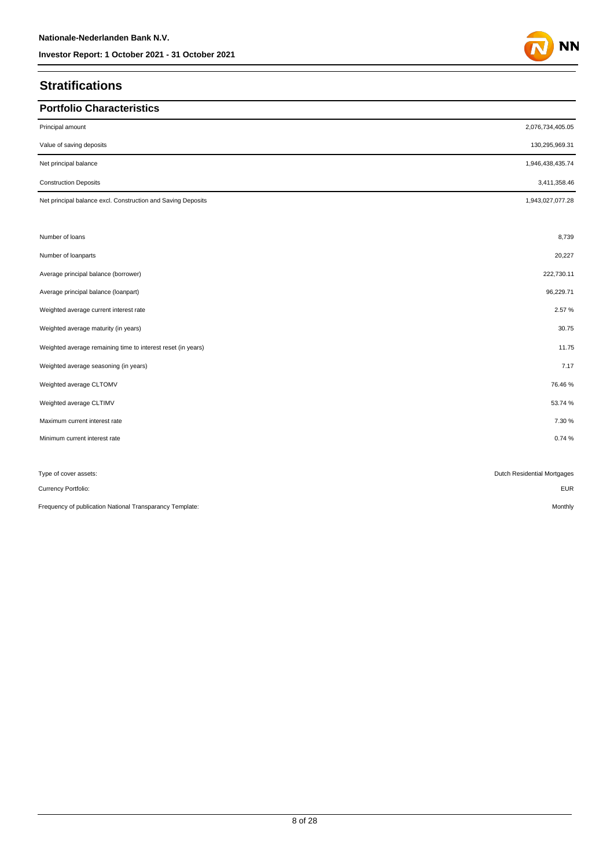## **Stratifications**

| <b>Portfolio Characteristics</b>                             |                             |
|--------------------------------------------------------------|-----------------------------|
| Principal amount                                             | 2,076,734,405.05            |
| Value of saving deposits                                     | 130,295,969.31              |
| Net principal balance                                        | 1,946,438,435.74            |
| <b>Construction Deposits</b>                                 | 3,411,358.46                |
| Net principal balance excl. Construction and Saving Deposits | 1,943,027,077.28            |
|                                                              |                             |
| Number of loans                                              | 8,739                       |
| Number of loanparts                                          | 20,227                      |
| Average principal balance (borrower)                         | 222,730.11                  |
| Average principal balance (loanpart)                         | 96,229.71                   |
| Weighted average current interest rate                       | 2.57%                       |
| Weighted average maturity (in years)                         | 30.75                       |
| Weighted average remaining time to interest reset (in years) | 11.75                       |
| Weighted average seasoning (in years)                        | 7.17                        |
| Weighted average CLTOMV                                      | 76.46%                      |
| Weighted average CLTIMV                                      | 53.74 %                     |
| Maximum current interest rate                                | 7.30 %                      |
| Minimum current interest rate                                | 0.74%                       |
|                                                              |                             |
| Type of cover assets:                                        | Dutch Residential Mortgages |
| Currency Portfolio:                                          | <b>EUR</b>                  |

Frequency of publication National Transparancy Template: Monthly and the material of the material of the material of the material of the material of the material of the monthly Monthly

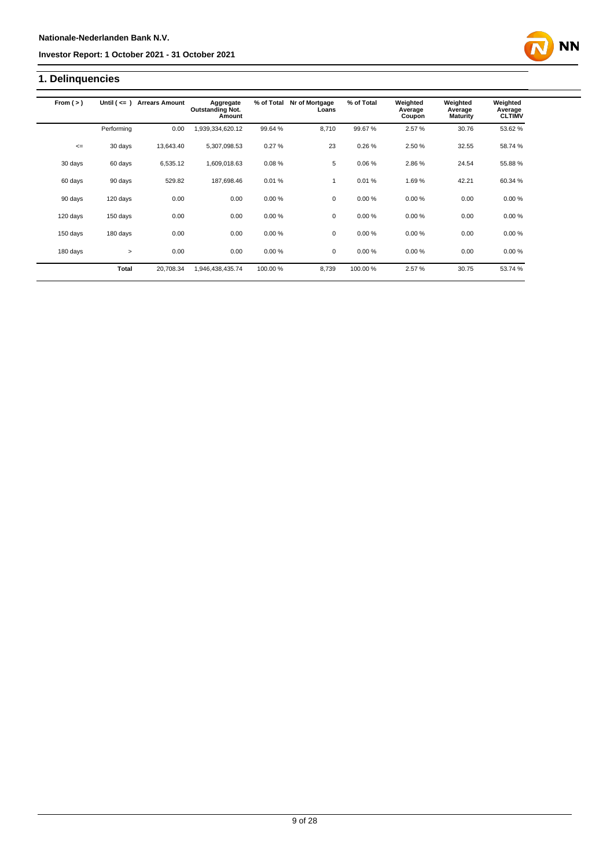## **1. Delinquencies**

| From $(>)$ | Until $($ <= $)$ | <b>Arrears Amount</b> | Aggregate<br><b>Outstanding Not.</b> | % of Total | Nr of Mortgage<br>Loans | % of Total | Weighted<br>Average | Weighted<br>Average | Weighted<br>Average |
|------------|------------------|-----------------------|--------------------------------------|------------|-------------------------|------------|---------------------|---------------------|---------------------|
|            |                  |                       | Amount                               |            |                         |            | Coupon              | <b>Maturity</b>     | <b>CLTIMV</b>       |
|            | Performing       | 0.00                  | 1,939,334,620.12                     | 99.64%     | 8.710                   | 99.67%     | 2.57%               | 30.76               | 53.62%              |
| $\leq$     | 30 days          | 13,643.40             | 5,307,098.53                         | 0.27%      | 23                      | 0.26%      | 2.50 %              | 32.55               | 58.74 %             |
| 30 days    | 60 days          | 6,535.12              | 1,609,018.63                         | 0.08%      | 5                       | 0.06%      | 2.86%               | 24.54               | 55.88%              |
| 60 days    | 90 days          | 529.82                | 187,698.46                           | 0.01%      | 1                       | 0.01%      | 1.69%               | 42.21               | 60.34 %             |
| 90 days    | 120 days         | 0.00                  | 0.00                                 | 0.00%      | $\mathbf 0$             | 0.00%      | 0.00%               | 0.00                | 0.00%               |
| 120 days   | 150 days         | 0.00                  | 0.00                                 | 0.00%      | $\mathbf 0$             | 0.00%      | 0.00%               | 0.00                | 0.00%               |
| 150 days   | 180 days         | 0.00                  | 0.00                                 | 0.00%      | $\mathbf 0$             | 0.00%      | 0.00%               | 0.00                | 0.00%               |
| 180 days   | $\geq$           | 0.00                  | 0.00                                 | 0.00%      | $\mathbf 0$             | 0.00%      | 0.00%               | 0.00                | 0.00%               |
|            | <b>Total</b>     | 20.708.34             | 1,946,438,435.74                     | 100.00 %   | 8.739                   | 100.00%    | 2.57%               | 30.75               | 53.74 %             |

**NN**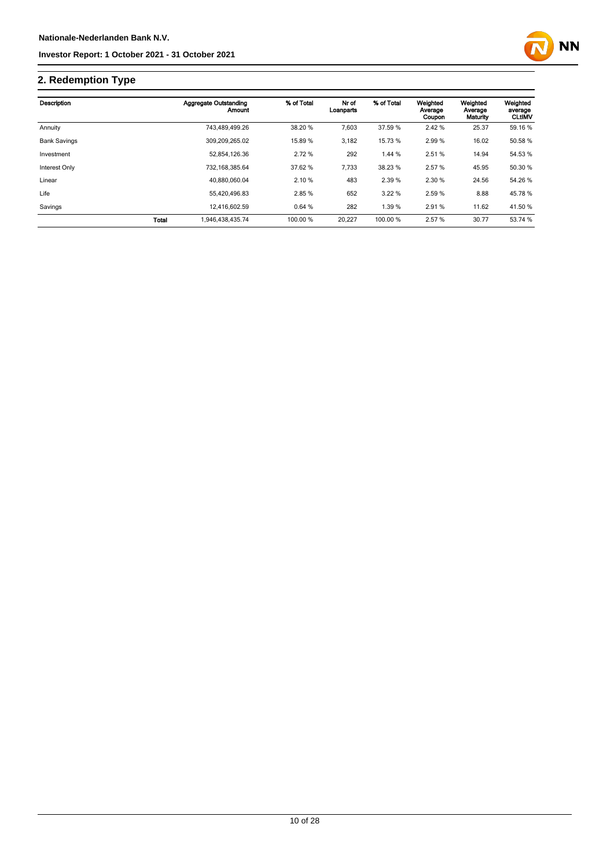

## **2. Redemption Type**

| Description         |              | <b>Aggregate Outstanding</b><br><b>Amount</b> | % of Total | Nr of<br>Loanparts | % of Total | Weighted<br>Average<br>Coupon | Weighted<br>Average<br>Maturity | Weighted<br>average<br><b>CLtIMV</b> |
|---------------------|--------------|-----------------------------------------------|------------|--------------------|------------|-------------------------------|---------------------------------|--------------------------------------|
| Annuity             |              | 743.489.499.26                                | 38.20 %    | 7.603              | 37.59 %    | 2.42 %                        | 25.37                           | 59.16 %                              |
| <b>Bank Savings</b> |              | 309.209.265.02                                | 15.89 %    | 3,182              | 15.73 %    | 2.99%                         | 16.02                           | 50.58 %                              |
| Investment          |              | 52.854.126.36                                 | 2.72 %     | 292                | 1.44 %     | 2.51 %                        | 14.94                           | 54.53 %                              |
| Interest Only       |              | 732.168.385.64                                | 37.62 %    | 7,733              | 38.23 %    | 2.57 %                        | 45.95                           | 50.30 %                              |
| Linear              |              | 40.880.060.04                                 | 2.10%      | 483                | 2.39 %     | 2.30 %                        | 24.56                           | 54.26 %                              |
| Life                |              | 55.420.496.83                                 | 2.85%      | 652                | 3.22 %     | 2.59 %                        | 8.88                            | 45.78%                               |
| Savings             |              | 12,416,602.59                                 | 0.64%      | 282                | 1.39%      | 2.91 %                        | 11.62                           | 41.50 %                              |
|                     | <b>Total</b> | 1,946,438,435.74                              | 100.00 %   | 20.227             | 100.00 %   | 2.57 %                        | 30.77                           | 53.74 %                              |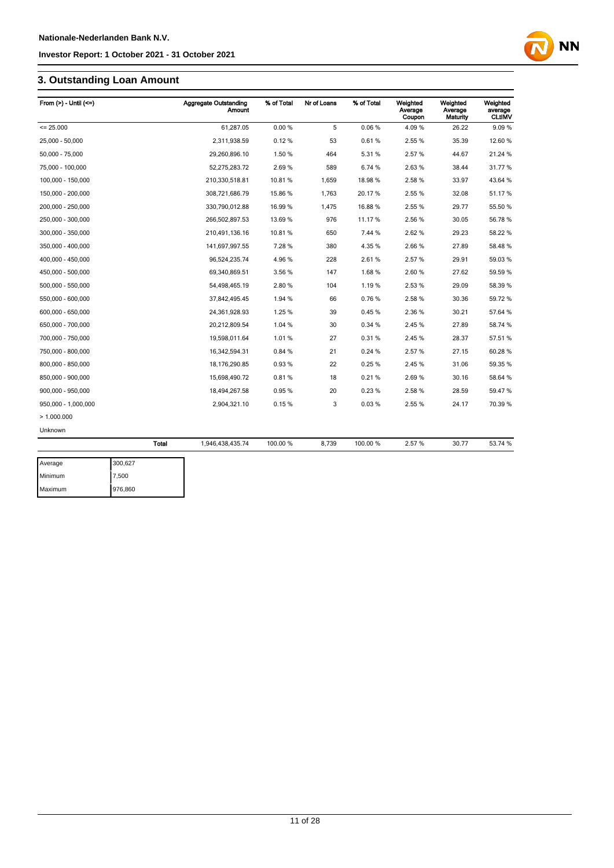## **3. Outstanding Loan Amount**

| From $(>)$ - Until $(<=)$ |              | <b>Aggregate Outstanding</b><br>Amount | % of Total | Nr of Loans | % of Total | Weighted<br>Average<br>Coupon | Weighted<br>Average<br>Maturity | Weighted<br>average<br><b>CLtIMV</b> |
|---------------------------|--------------|----------------------------------------|------------|-------------|------------|-------------------------------|---------------------------------|--------------------------------------|
| $= 25.000$                |              | 61.287.05                              | 0.00%      | 5           | 0.06%      | 4.09%                         | 26.22                           | 9.09%                                |
| 25,000 - 50,000           |              | 2,311,938.59                           | 0.12%      | 53          | 0.61%      | 2.55 %                        | 35.39                           | 12.60 %                              |
| 50,000 - 75,000           |              | 29,260,896.10                          | 1.50 %     | 464         | 5.31%      | 2.57 %                        | 44.67                           | 21.24 %                              |
| 75,000 - 100,000          |              | 52,275,283.72                          | 2.69%      | 589         | 6.74 %     | 2.63%                         | 38.44                           | 31.77 %                              |
| 100,000 - 150,000         |              | 210,330,518.81                         | 10.81%     | 1,659       | 18.98%     | 2.58%                         | 33.97                           | 43.64 %                              |
| 150,000 - 200,000         |              | 308,721,686.79                         | 15.86 %    | 1,763       | 20.17%     | 2.55 %                        | 32.08                           | 51.17%                               |
| 200,000 - 250,000         |              | 330,790,012.88                         | 16.99 %    | 1,475       | 16.88%     | 2.55 %                        | 29.77                           | 55.50 %                              |
| 250,000 - 300,000         |              | 266,502,897.53                         | 13.69 %    | 976         | 11.17%     | 2.56 %                        | 30.05                           | 56.78 %                              |
| 300,000 - 350,000         |              | 210,491,136.16                         | 10.81%     | 650         | 7.44 %     | 2.62%                         | 29.23                           | 58.22 %                              |
| 350,000 - 400,000         |              | 141,697,997.55                         | 7.28%      | 380         | 4.35%      | 2.66%                         | 27.89                           | 58.48%                               |
| 400.000 - 450.000         |              | 96,524,235.74                          | 4.96%      | 228         | 2.61%      | 2.57%                         | 29.91                           | 59.03%                               |
| 450,000 - 500,000         |              | 69.340.869.51                          | 3.56 %     | 147         | 1.68%      | 2.60%                         | 27.62                           | 59.59 %                              |
| 500,000 - 550,000         |              | 54,498,465.19                          | 2.80%      | 104         | 1.19%      | 2.53 %                        | 29.09                           | 58.39 %                              |
| 550,000 - 600,000         |              | 37,842,495.45                          | 1.94 %     | 66          | 0.76%      | 2.58 %                        | 30.36                           | 59.72 %                              |
| 600,000 - 650,000         |              | 24,361,928.93                          | 1.25 %     | 39          | 0.45%      | 2.36 %                        | 30.21                           | 57.64 %                              |
| 650,000 - 700,000         |              | 20,212,809.54                          | 1.04 %     | 30          | 0.34 %     | 2.45 %                        | 27.89                           | 58.74 %                              |
| 700,000 - 750,000         |              | 19,598,011.64                          | 1.01%      | 27          | 0.31%      | 2.45 %                        | 28.37                           | 57.51 %                              |
| 750,000 - 800,000         |              | 16,342,594.31                          | 0.84%      | 21          | 0.24%      | 2.57 %                        | 27.15                           | 60.28%                               |
| 800,000 - 850,000         |              | 18,176,290.85                          | 0.93%      | 22          | 0.25%      | 2.45 %                        | 31.06                           | 59.35 %                              |
| 850,000 - 900,000         |              | 15,698,490.72                          | 0.81%      | 18          | 0.21%      | 2.69%                         | 30.16                           | 58.64 %                              |
| 900,000 - 950,000         |              | 18,494,267.58                          | 0.95%      | 20          | 0.23%      | 2.58 %                        | 28.59                           | 59.47 %                              |
| 950,000 - 1,000,000       |              | 2,904,321.10                           | 0.15%      | 3           | 0.03%      | 2.55 %                        | 24.17                           | 70.39 %                              |
| >1.000.000                |              |                                        |            |             |            |                               |                                 |                                      |
| Unknown                   |              |                                        |            |             |            |                               |                                 |                                      |
|                           | <b>Total</b> | 1,946,438,435.74                       | 100.00 %   | 8,739       | 100.00 %   | 2.57%                         | 30.77                           | 53.74 %                              |
| Average                   | 300.627      |                                        |            |             |            |                               |                                 |                                      |
|                           |              |                                        |            |             |            |                               |                                 |                                      |

| Average | 300.627 |
|---------|---------|
| Minimum | 7,500   |
| Maximum | 976,860 |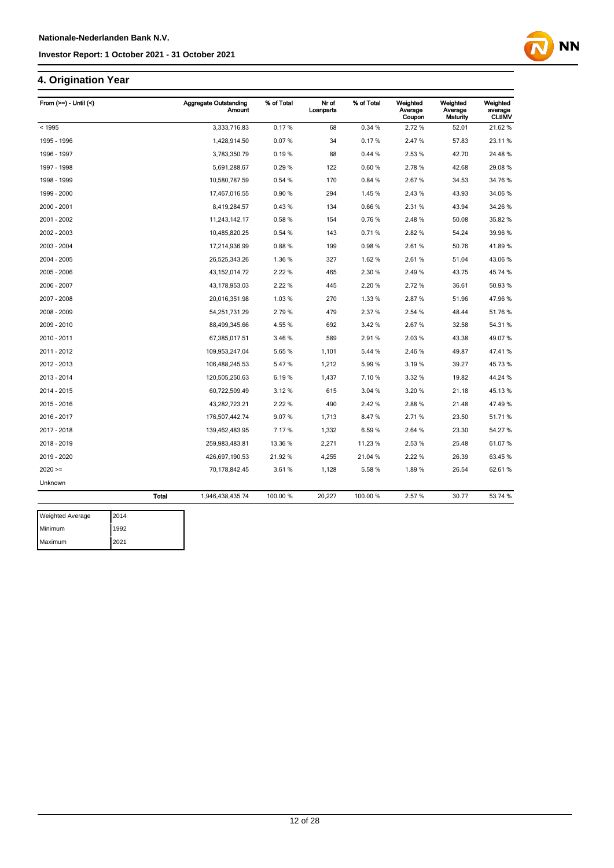## **4. Origination Year**

| From $(>=)$ - Until $($ |              | <b>Aggregate Outstanding</b><br><b>Amount</b> | % of Total | Nr of<br>Loanparts | % of Total | Weighted<br>Average<br>Coupon | Weighted<br>Average<br>Maturity | Weighted<br>average<br><b>CLtIMV</b> |
|-------------------------|--------------|-----------------------------------------------|------------|--------------------|------------|-------------------------------|---------------------------------|--------------------------------------|
| < 1995                  |              | 3,333,716.83                                  | 0.17%      | 68                 | 0.34 %     | 2.72%                         | 52.01                           | 21.62%                               |
| 1995 - 1996             |              | 1,428,914.50                                  | 0.07%      | 34                 | 0.17%      | 2.47%                         | 57.83                           | 23.11%                               |
| 1996 - 1997             |              | 3,783,350.79                                  | 0.19%      | 88                 | 0.44%      | 2.53 %                        | 42.70                           | 24.48%                               |
| 1997 - 1998             |              | 5,691,288.67                                  | 0.29%      | 122                | 0.60%      | 2.78%                         | 42.68                           | 29.08%                               |
| 1998 - 1999             |              | 10,580,787.59                                 | 0.54%      | 170                | 0.84 %     | 2.67%                         | 34.53                           | 34.76 %                              |
| 1999 - 2000             |              | 17,467,016.55                                 | 0.90%      | 294                | 1.45%      | 2.43%                         | 43.93                           | 34.06 %                              |
| 2000 - 2001             |              | 8,419,284.57                                  | 0.43%      | 134                | 0.66%      | 2.31%                         | 43.94                           | 34.26 %                              |
| 2001 - 2002             |              | 11,243,142.17                                 | 0.58%      | 154                | 0.76%      | 2.48%                         | 50.08                           | 35.82 %                              |
| 2002 - 2003             |              | 10,485,820.25                                 | 0.54 %     | 143                | 0.71%      | 2.82%                         | 54.24                           | 39.96 %                              |
| 2003 - 2004             |              | 17,214,936.99                                 | 0.88%      | 199                | 0.98%      | 2.61%                         | 50.76                           | 41.89%                               |
| 2004 - 2005             |              | 26,525,343.26                                 | 1.36%      | 327                | 1.62%      | 2.61%                         | 51.04                           | 43.06%                               |
| 2005 - 2006             |              | 43, 152, 014. 72                              | 2.22 %     | 465                | 2.30 %     | 2.49%                         | 43.75                           | 45.74 %                              |
| 2006 - 2007             |              | 43, 178, 953.03                               | 2.22 %     | 445                | 2.20%      | 2.72%                         | 36.61                           | 50.93%                               |
| 2007 - 2008             |              | 20,016,351.98                                 | 1.03%      | 270                | 1.33 %     | 2.87%                         | 51.96                           | 47.96%                               |
| 2008 - 2009             |              | 54,251,731.29                                 | 2.79%      | 479                | 2.37%      | 2.54 %                        | 48.44                           | 51.76 %                              |
| 2009 - 2010             |              | 88,499,345.66                                 | 4.55%      | 692                | 3.42%      | 2.67%                         | 32.58                           | 54.31%                               |
| 2010 - 2011             |              | 67,385,017.51                                 | 3.46%      | 589                | 2.91%      | 2.03%                         | 43.38                           | 49.07%                               |
| 2011 - 2012             |              | 109,953,247.04                                | 5.65 %     | 1,101              | 5.44 %     | 2.46 %                        | 49.87                           | 47.41%                               |
| 2012 - 2013             |              | 106,488,245.53                                | 5.47%      | 1,212              | 5.99%      | 3.19%                         | 39.27                           | 45.73 %                              |
| 2013 - 2014             |              | 120,505,250.63                                | 6.19%      | 1,437              | 7.10%      | 3.32 %                        | 19.82                           | 44.24 %                              |
| 2014 - 2015             |              | 60,722,509.49                                 | 3.12%      | 615                | 3.04 %     | 3.20 %                        | 21.18                           | 45.13 %                              |
| 2015 - 2016             |              | 43,282,723.21                                 | 2.22%      | 490                | 2.42%      | 2.88%                         | 21.48                           | 47.49 %                              |
| 2016 - 2017             |              | 176,507,442.74                                | 9.07%      | 1,713              | 8.47%      | 2.71%                         | 23.50                           | 51.71%                               |
| 2017 - 2018             |              | 139,462,483.95                                | 7.17%      | 1,332              | 6.59%      | 2.64 %                        | 23.30                           | 54.27 %                              |
| 2018 - 2019             |              | 259,983,483.81                                | 13.36 %    | 2,271              | 11.23 %    | 2.53%                         | 25.48                           | 61.07%                               |
| 2019 - 2020             |              | 426,697,190.53                                | 21.92%     | 4,255              | 21.04 %    | 2.22 %                        | 26.39                           | 63.45 %                              |
| $2020 =$                |              | 70,178,842.45                                 | 3.61%      | 1,128              | 5.58%      | 1.89%                         | 26.54                           | 62.61%                               |
| Unknown                 |              |                                               |            |                    |            |                               |                                 |                                      |
|                         | <b>Total</b> | 1,946,438,435.74                              | 100.00 %   | 20,227             | 100.00 %   | 2.57%                         | 30.77                           | 53.74 %                              |

**NN** 

| <b>Weighted Average</b> | 2014 |
|-------------------------|------|
| Minimum                 | 1992 |
| Maximum                 | 2021 |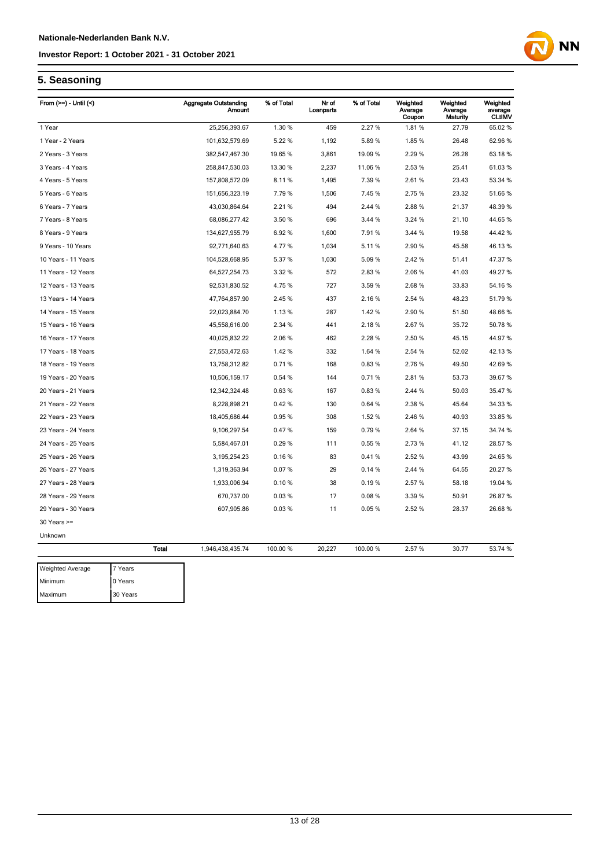

## **5. Seasoning**

Maximum 30 Years

| From $(>=)$ - Until $($ |              | <b>Aggregate Outstanding</b><br><b>Amount</b> | % of Total | Nr of<br>Loanparts | % of Total | Weighted<br>Average<br>Coupon | Weighted<br>Average<br><b>Maturity</b> | Weighted<br>average<br><b>CLtIMV</b> |
|-------------------------|--------------|-----------------------------------------------|------------|--------------------|------------|-------------------------------|----------------------------------------|--------------------------------------|
| 1 Year                  |              | 25,256,393.67                                 | 1.30 %     | 459                | 2.27 %     | 1.81%                         | 27.79                                  | 65.02 %                              |
| 1 Year - 2 Years        |              | 101,632,579.69                                | 5.22 %     | 1,192              | 5.89%      | 1.85%                         | 26.48                                  | 62.96 %                              |
| 2 Years - 3 Years       |              | 382,547,467.30                                | 19.65 %    | 3,861              | 19.09 %    | 2.29 %                        | 26.28                                  | 63.18%                               |
| 3 Years - 4 Years       |              | 258,847,530.03                                | 13.30 %    | 2,237              | 11.06%     | 2.53 %                        | 25.41                                  | 61.03%                               |
| 4 Years - 5 Years       |              | 157,808,572.09                                | 8.11%      | 1,495              | 7.39%      | 2.61%                         | 23.43                                  | 53.34 %                              |
| 5 Years - 6 Years       |              | 151,656,323.19                                | 7.79%      | 1,506              | 7.45%      | 2.75 %                        | 23.32                                  | 51.66 %                              |
| 6 Years - 7 Years       |              | 43,030,864.64                                 | 2.21 %     | 494                | 2.44 %     | 2.88%                         | 21.37                                  | 48.39 %                              |
| 7 Years - 8 Years       |              | 68,086,277.42                                 | 3.50 %     | 696                | 3.44 %     | 3.24 %                        | 21.10                                  | 44.65 %                              |
| 8 Years - 9 Years       |              | 134,627,955.79                                | 6.92%      | 1,600              | 7.91%      | 3.44 %                        | 19.58                                  | 44.42 %                              |
| 9 Years - 10 Years      |              | 92,771,640.63                                 | 4.77%      | 1,034              | 5.11%      | 2.90 %                        | 45.58                                  | 46.13%                               |
| 10 Years - 11 Years     |              | 104,528,668.95                                | 5.37 %     | 1,030              | 5.09%      | 2.42 %                        | 51.41                                  | 47.37 %                              |
| 11 Years - 12 Years     |              | 64,527,254.73                                 | 3.32 %     | 572                | 2.83%      | 2.06%                         | 41.03                                  | 49.27 %                              |
| 12 Years - 13 Years     |              | 92,531,830.52                                 | 4.75%      | 727                | 3.59%      | 2.68%                         | 33.83                                  | 54.16%                               |
| 13 Years - 14 Years     |              | 47,764,857.90                                 | 2.45 %     | 437                | 2.16%      | 2.54 %                        | 48.23                                  | 51.79%                               |
| 14 Years - 15 Years     |              | 22,023,884.70                                 | 1.13%      | 287                | 1.42%      | 2.90%                         | 51.50                                  | 48.66%                               |
| 15 Years - 16 Years     |              | 45,558,616.00                                 | 2.34 %     | 441                | 2.18%      | 2.67%                         | 35.72                                  | 50.78 %                              |
| 16 Years - 17 Years     |              | 40,025,832.22                                 | 2.06%      | 462                | 2.28%      | 2.50 %                        | 45.15                                  | 44.97%                               |
| 17 Years - 18 Years     |              | 27,553,472.63                                 | 1.42%      | 332                | 1.64 %     | 2.54 %                        | 52.02                                  | 42.13%                               |
| 18 Years - 19 Years     |              | 13,758,312.82                                 | 0.71%      | 168                | 0.83%      | 2.76%                         | 49.50                                  | 42.69%                               |
| 19 Years - 20 Years     |              | 10,506,159.17                                 | 0.54%      | 144                | 0.71%      | 2.81%                         | 53.73                                  | 39.67 %                              |
| 20 Years - 21 Years     |              | 12,342,324.48                                 | 0.63%      | 167                | 0.83%      | 2.44 %                        | 50.03                                  | 35.47 %                              |
| 21 Years - 22 Years     |              | 8,228,898.21                                  | 0.42%      | 130                | 0.64%      | 2.38 %                        | 45.64                                  | 34.33 %                              |
| 22 Years - 23 Years     |              | 18,405,686.44                                 | 0.95%      | 308                | 1.52 %     | 2.46 %                        | 40.93                                  | 33.85 %                              |
| 23 Years - 24 Years     |              | 9,106,297.54                                  | 0.47%      | 159                | 0.79%      | 2.64 %                        | 37.15                                  | 34.74 %                              |
| 24 Years - 25 Years     |              | 5,584,467.01                                  | 0.29%      | 111                | 0.55%      | 2.73%                         | 41.12                                  | 28.57 %                              |
| 25 Years - 26 Years     |              | 3,195,254.23                                  | 0.16%      | 83                 | 0.41%      | 2.52 %                        | 43.99                                  | 24.65 %                              |
| 26 Years - 27 Years     |              | 1,319,363.94                                  | 0.07%      | 29                 | 0.14%      | 2.44 %                        | 64.55                                  | 20.27 %                              |
| 27 Years - 28 Years     |              | 1,933,006.94                                  | 0.10%      | 38                 | 0.19%      | 2.57 %                        | 58.18                                  | 19.04 %                              |
| 28 Years - 29 Years     |              | 670,737.00                                    | 0.03%      | 17                 | 0.08%      | 3.39 %                        | 50.91                                  | 26.87%                               |
| 29 Years - 30 Years     |              | 607,905.86                                    | 0.03%      | 11                 | 0.05%      | 2.52 %                        | 28.37                                  | 26.68%                               |
| $30$ Years $>=$         |              |                                               |            |                    |            |                               |                                        |                                      |
| Unknown                 |              |                                               |            |                    |            |                               |                                        |                                      |
|                         | <b>Total</b> | 1,946,438,435.74                              | 100.00 %   | 20,227             | 100.00 %   | 2.57 %                        | 30.77                                  | 53.74 %                              |
| Weighted Average        | 7 Years      |                                               |            |                    |            |                               |                                        |                                      |
| Minimum                 | 0 Years      |                                               |            |                    |            |                               |                                        |                                      |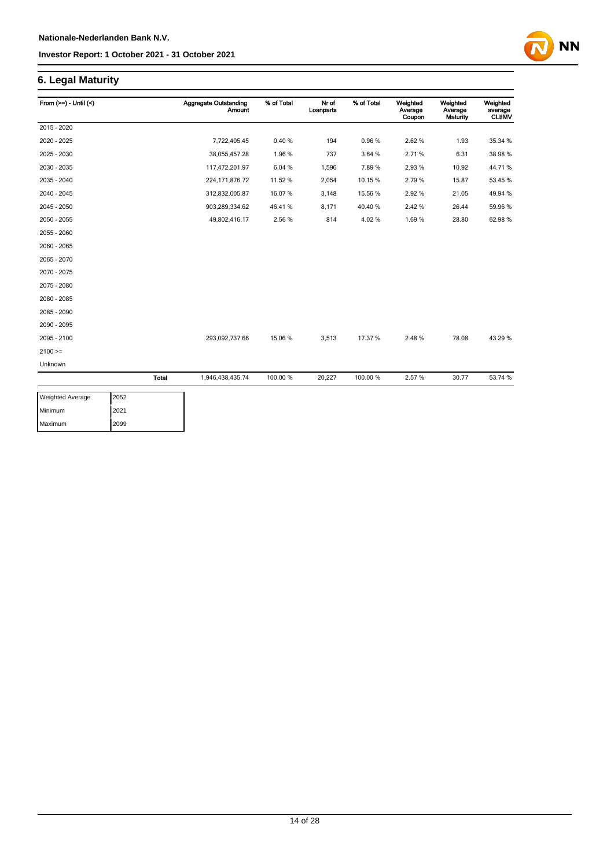## **6. Legal Maturity**

| From $(>=) -$ Until $($ |              | <b>Aggregate Outstanding</b><br>Amount | % of Total | Nr of<br>Loanparts | % of Total | Weighted<br>Average<br>Coupon | Weighted<br>Average<br>Maturity | Weighted<br>average<br><b>CLtIMV</b> |
|-------------------------|--------------|----------------------------------------|------------|--------------------|------------|-------------------------------|---------------------------------|--------------------------------------|
| 2015 - 2020             |              |                                        |            |                    |            |                               |                                 |                                      |
| 2020 - 2025             |              | 7,722,405.45                           | 0.40%      | 194                | 0.96%      | 2.62%                         | 1.93                            | 35.34 %                              |
| 2025 - 2030             |              | 38,055,457.28                          | 1.96%      | 737                | 3.64 %     | 2.71%                         | 6.31                            | 38.98 %                              |
| 2030 - 2035             |              | 117,472,201.97                         | 6.04 %     | 1,596              | 7.89%      | 2.93%                         | 10.92                           | 44.71%                               |
| 2035 - 2040             |              | 224, 171, 876. 72                      | 11.52 %    | 2,054              | 10.15%     | 2.79%                         | 15.87                           | 53.45 %                              |
| 2040 - 2045             |              | 312,832,005.87                         | 16.07%     | 3,148              | 15.56 %    | 2.92%                         | 21.05                           | 49.94 %                              |
| 2045 - 2050             |              | 903,289,334.62                         | 46.41%     | 8,171              | 40.40%     | 2.42%                         | 26.44                           | 59.96 %                              |
| 2050 - 2055             |              | 49,802,416.17                          | 2.56 %     | 814                | 4.02%      | 1.69%                         | 28.80                           | 62.98%                               |
| 2055 - 2060             |              |                                        |            |                    |            |                               |                                 |                                      |
| 2060 - 2065             |              |                                        |            |                    |            |                               |                                 |                                      |
| 2065 - 2070             |              |                                        |            |                    |            |                               |                                 |                                      |
| 2070 - 2075             |              |                                        |            |                    |            |                               |                                 |                                      |
| 2075 - 2080             |              |                                        |            |                    |            |                               |                                 |                                      |
| 2080 - 2085             |              |                                        |            |                    |            |                               |                                 |                                      |
| 2085 - 2090             |              |                                        |            |                    |            |                               |                                 |                                      |
| 2090 - 2095             |              |                                        |            |                    |            |                               |                                 |                                      |
| 2095 - 2100             |              | 293,092,737.66                         | 15.06 %    | 3,513              | 17.37 %    | 2.48%                         | 78.08                           | 43.29 %                              |
| $2100 >=$               |              |                                        |            |                    |            |                               |                                 |                                      |
| Unknown                 |              |                                        |            |                    |            |                               |                                 |                                      |
|                         | <b>Total</b> | 1,946,438,435.74                       | 100.00 %   | 20,227             | 100.00%    | 2.57%                         | 30.77                           | 53.74 %                              |

**NN** 

| <b>Weighted Average</b> | 2052 |
|-------------------------|------|
| Minimum                 | 2021 |
| Maximum                 | 2099 |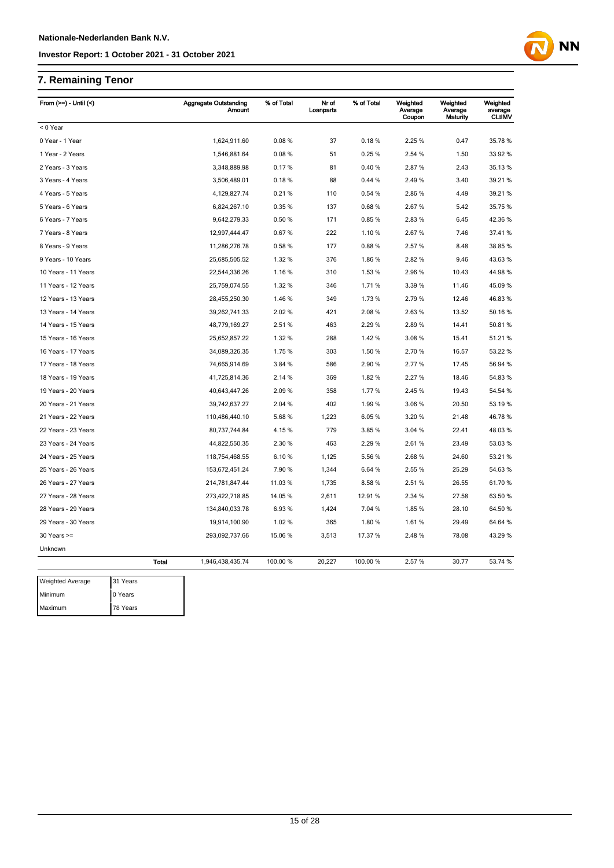## **7. Remaining Tenor**

| From $(>=)$ - Until $($ |              | <b>Aggregate Outstanding</b><br><b>Amount</b> | % of Total | Nr of<br>Loanparts | % of Total | Weighted<br>Average<br>Coupon | Weighted<br>Average<br>Maturity | Weighted<br>average<br><b>CLtIMV</b> |
|-------------------------|--------------|-----------------------------------------------|------------|--------------------|------------|-------------------------------|---------------------------------|--------------------------------------|
| < 0 Year                |              |                                               |            |                    |            |                               |                                 |                                      |
| 0 Year - 1 Year         |              | 1,624,911.60                                  | 0.08%      | 37                 | 0.18%      | 2.25 %                        | 0.47                            | 35.78 %                              |
| 1 Year - 2 Years        |              | 1,546,881.64                                  | 0.08%      | 51                 | 0.25%      | 2.54 %                        | 1.50                            | 33.92 %                              |
| 2 Years - 3 Years       |              | 3,348,889.98                                  | 0.17%      | 81                 | 0.40%      | 2.87%                         | 2.43                            | 35.13 %                              |
| 3 Years - 4 Years       |              | 3,506,489.01                                  | 0.18%      | 88                 | 0.44%      | 2.49%                         | 3.40                            | 39.21 %                              |
| 4 Years - 5 Years       |              | 4,129,827.74                                  | 0.21%      | 110                | 0.54%      | 2.86%                         | 4.49                            | 39.21 %                              |
| 5 Years - 6 Years       |              | 6,824,267.10                                  | 0.35%      | 137                | 0.68%      | 2.67%                         | 5.42                            | 35.75 %                              |
| 6 Years - 7 Years       |              | 9,642,279.33                                  | 0.50%      | 171                | 0.85%      | 2.83%                         | 6.45                            | 42.36 %                              |
| 7 Years - 8 Years       |              | 12,997,444.47                                 | 0.67%      | 222                | 1.10%      | 2.67%                         | 7.46                            | 37.41%                               |
| 8 Years - 9 Years       |              | 11,286,276.78                                 | 0.58%      | 177                | 0.88%      | 2.57%                         | 8.48                            | 38.85 %                              |
| 9 Years - 10 Years      |              | 25,685,505.52                                 | 1.32 %     | 376                | 1.86%      | 2.82%                         | 9.46                            | 43.63%                               |
| 10 Years - 11 Years     |              | 22,544,336.26                                 | 1.16 %     | 310                | 1.53 %     | 2.96%                         | 10.43                           | 44.98%                               |
| 11 Years - 12 Years     |              | 25,759,074.55                                 | 1.32 %     | 346                | 1.71%      | 3.39 %                        | 11.46                           | 45.09 %                              |
| 12 Years - 13 Years     |              | 28,455,250.30                                 | 1.46%      | 349                | 1.73%      | 2.79%                         | 12.46                           | 46.83%                               |
| 13 Years - 14 Years     |              | 39,262,741.33                                 | 2.02%      | 421                | 2.08%      | 2.63%                         | 13.52                           | 50.16 %                              |
| 14 Years - 15 Years     |              | 48,779,169.27                                 | 2.51%      | 463                | 2.29%      | 2.89%                         | 14.41                           | 50.81%                               |
| 15 Years - 16 Years     |              | 25,652,857.22                                 | 1.32 %     | 288                | 1.42%      | 3.08%                         | 15.41                           | 51.21%                               |
| 16 Years - 17 Years     |              | 34,089,326.35                                 | 1.75 %     | 303                | 1.50 %     | 2.70%                         | 16.57                           | 53.22 %                              |
| 17 Years - 18 Years     |              | 74,665,914.69                                 | 3.84 %     | 586                | 2.90%      | 2.77%                         | 17.45                           | 56.94 %                              |
| 18 Years - 19 Years     |              | 41,725,814.36                                 | 2.14 %     | 369                | 1.82%      | 2.27 %                        | 18.46                           | 54.83 %                              |
| 19 Years - 20 Years     |              | 40,643,447.26                                 | 2.09%      | 358                | 1.77%      | 2.45 %                        | 19.43                           | 54.54 %                              |
| 20 Years - 21 Years     |              | 39,742,637.27                                 | 2.04 %     | 402                | 1.99%      | 3.06%                         | 20.50                           | 53.19 %                              |
| 21 Years - 22 Years     |              | 110,486,440.10                                | 5.68%      | 1,223              | 6.05%      | 3.20%                         | 21.48                           | 46.78%                               |
| 22 Years - 23 Years     |              | 80,737,744.84                                 | 4.15%      | 779                | 3.85%      | 3.04 %                        | 22.41                           | 48.03%                               |
| 23 Years - 24 Years     |              | 44,822,550.35                                 | 2.30 %     | 463                | 2.29%      | 2.61%                         | 23.49                           | 53.03 %                              |
| 24 Years - 25 Years     |              | 118,754,468.55                                | 6.10%      | 1,125              | 5.56 %     | 2.68%                         | 24.60                           | 53.21 %                              |
| 25 Years - 26 Years     |              | 153,672,451.24                                | 7.90 %     | 1,344              | 6.64 %     | 2.55 %                        | 25.29                           | 54.63%                               |
| 26 Years - 27 Years     |              | 214,781,847.44                                | 11.03 %    | 1,735              | 8.58%      | 2.51%                         | 26.55                           | 61.70%                               |
| 27 Years - 28 Years     |              | 273,422,718.85                                | 14.05 %    | 2,611              | 12.91%     | 2.34 %                        | 27.58                           | 63.50 %                              |
| 28 Years - 29 Years     |              | 134,840,033.78                                | 6.93%      | 1,424              | 7.04 %     | 1.85%                         | 28.10                           | 64.50 %                              |
| 29 Years - 30 Years     |              | 19,914,100.90                                 | 1.02%      | 365                | 1.80%      | 1.61%                         | 29.49                           | 64.64 %                              |
| $30$ Years $>=$         |              | 293,092,737.66                                | 15.06 %    | 3,513              | 17.37 %    | 2.48%                         | 78.08                           | 43.29 %                              |
| Unknown                 |              |                                               |            |                    |            |                               |                                 |                                      |
|                         | <b>Total</b> | 1,946,438,435.74                              | 100.00 %   | 20,227             | 100.00%    | 2.57%                         | 30.77                           | 53.74 %                              |
| Weighted Average        | 31 Years     |                                               |            |                    |            |                               |                                 |                                      |
| Minimum                 | 0 Years      |                                               |            |                    |            |                               |                                 |                                      |
| Maximum                 | 78 Years     |                                               |            |                    |            |                               |                                 |                                      |

**NN**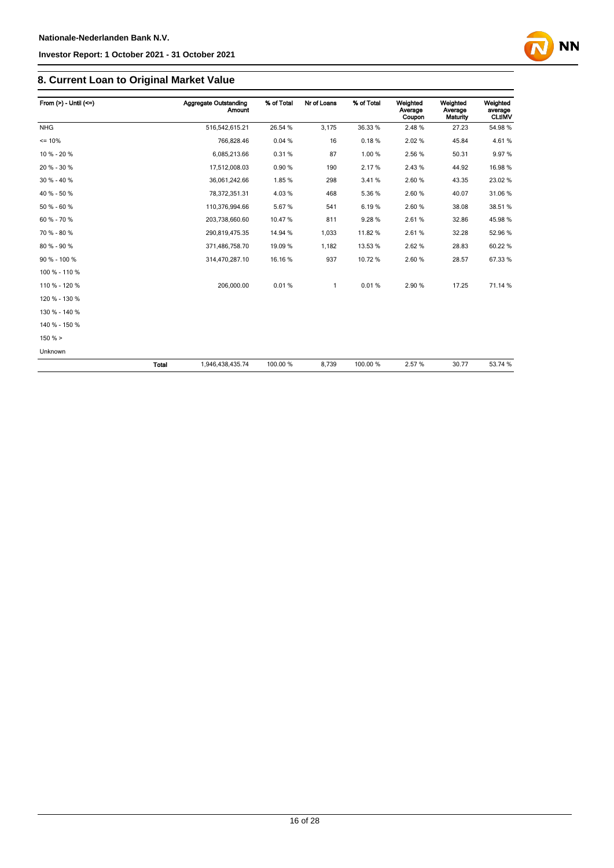

## **8. Current Loan to Original Market Value**

| From $(>) -$ Until $(<=)$ |              | <b>Aggregate Outstanding</b><br>Amount | % of Total | Nr of Loans | % of Total | Weighted<br>Average<br>Coupon | Weighted<br>Average<br>Maturity | Weighted<br>average<br><b>CLtIMV</b> |
|---------------------------|--------------|----------------------------------------|------------|-------------|------------|-------------------------------|---------------------------------|--------------------------------------|
| <b>NHG</b>                |              | 516,542,615.21                         | 26.54 %    | 3,175       | 36.33 %    | 2.48%                         | 27.23                           | 54.98%                               |
| $= 10%$                   |              | 766,828.46                             | 0.04%      | 16          | 0.18%      | 2.02%                         | 45.84                           | 4.61%                                |
| 10 % - 20 %               |              | 6,085,213.66                           | 0.31%      | 87          | 1.00%      | 2.56 %                        | 50.31                           | 9.97%                                |
| 20 % - 30 %               |              | 17,512,008.03                          | 0.90%      | 190         | 2.17%      | 2.43%                         | 44.92                           | 16.98 %                              |
| 30 % - 40 %               |              | 36,061,242.66                          | 1.85%      | 298         | 3.41%      | 2.60%                         | 43.35                           | 23.02%                               |
| 40 % - 50 %               |              | 78,372,351.31                          | 4.03%      | 468         | 5.36%      | 2.60%                         | 40.07                           | 31.06%                               |
| 50 % - 60 %               |              | 110,376,994.66                         | 5.67%      | 541         | 6.19%      | 2.60%                         | 38.08                           | 38.51 %                              |
| 60 % - 70 %               |              | 203,738,660.60                         | 10.47%     | 811         | 9.28%      | 2.61%                         | 32.86                           | 45.98 %                              |
| 70 % - 80 %               |              | 290,819,475.35                         | 14.94 %    | 1,033       | 11.82%     | 2.61%                         | 32.28                           | 52.96 %                              |
| 80 % - 90 %               |              | 371,486,758.70                         | 19.09 %    | 1.182       | 13.53 %    | 2.62%                         | 28.83                           | 60.22%                               |
| 90 % - 100 %              |              | 314,470,287.10                         | 16.16%     | 937         | 10.72%     | 2.60%                         | 28.57                           | 67.33 %                              |
| 100 % - 110 %             |              |                                        |            |             |            |                               |                                 |                                      |
| 110 % - 120 %             |              | 206,000.00                             | 0.01%      | 1           | 0.01%      | 2.90%                         | 17.25                           | 71.14 %                              |
| 120 % - 130 %             |              |                                        |            |             |            |                               |                                 |                                      |
| 130 % - 140 %             |              |                                        |            |             |            |                               |                                 |                                      |
| 140 % - 150 %             |              |                                        |            |             |            |                               |                                 |                                      |
| $150 \%$ >                |              |                                        |            |             |            |                               |                                 |                                      |
| Unknown                   |              |                                        |            |             |            |                               |                                 |                                      |
|                           | <b>Total</b> | 1,946,438,435.74                       | 100.00 %   | 8,739       | 100.00%    | 2.57%                         | 30.77                           | 53.74 %                              |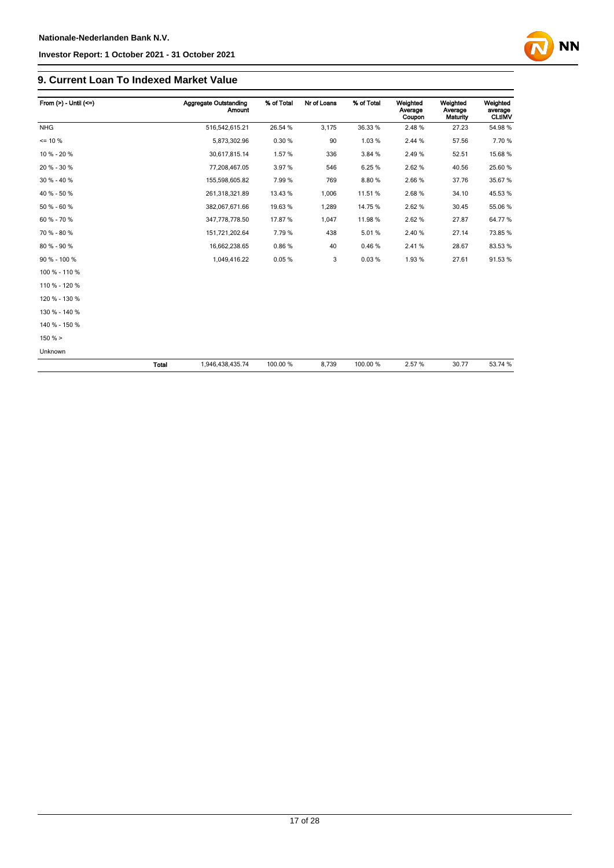# **NN**

### **9. Current Loan To Indexed Market Value**

| From $(>) -$ Until $(<=)$ |       | <b>Aggregate Outstanding</b><br><b>Amount</b> | % of Total | Nr of Loans | % of Total | Weighted<br>Average<br>Coupon | Weighted<br>Average<br>Maturity | Weighted<br>average<br><b>CLtIMV</b> |
|---------------------------|-------|-----------------------------------------------|------------|-------------|------------|-------------------------------|---------------------------------|--------------------------------------|
| <b>NHG</b>                |       | 516,542,615.21                                | 26.54 %    | 3,175       | 36.33 %    | 2.48%                         | 27.23                           | 54.98%                               |
| $= 10 \%$                 |       | 5,873,302.96                                  | 0.30%      | 90          | 1.03%      | 2.44 %                        | 57.56                           | 7.70%                                |
| 10 % - 20 %               |       | 30,617,815.14                                 | 1.57%      | 336         | 3.84 %     | 2.49%                         | 52.51                           | 15.68%                               |
| 20 % - 30 %               |       | 77,208,467.05                                 | 3.97%      | 546         | 6.25%      | 2.62%                         | 40.56                           | 25.60 %                              |
| 30 % - 40 %               |       | 155,598,605.82                                | 7.99%      | 769         | 8.80%      | 2.66%                         | 37.76                           | 35.67 %                              |
| 40 % - 50 %               |       | 261,318,321.89                                | 13.43 %    | 1,006       | 11.51%     | 2.68%                         | 34.10                           | 45.53 %                              |
| 50 % - 60 %               |       | 382,067,671.66                                | 19.63%     | 1,289       | 14.75 %    | 2.62%                         | 30.45                           | 55.06 %                              |
| 60 % - 70 %               |       | 347,778,778.50                                | 17.87%     | 1,047       | 11.98%     | 2.62%                         | 27.87                           | 64.77%                               |
| 70 % - 80 %               |       | 151,721,202.64                                | 7.79%      | 438         | 5.01%      | 2.40%                         | 27.14                           | 73.85 %                              |
| 80 % - 90 %               |       | 16,662,238.65                                 | 0.86%      | 40          | 0.46%      | 2.41%                         | 28.67                           | 83.53 %                              |
| 90 % - 100 %              |       | 1,049,416.22                                  | 0.05%      | 3           | 0.03%      | 1.93%                         | 27.61                           | 91.53%                               |
| 100 % - 110 %             |       |                                               |            |             |            |                               |                                 |                                      |
| 110 % - 120 %             |       |                                               |            |             |            |                               |                                 |                                      |
| 120 % - 130 %             |       |                                               |            |             |            |                               |                                 |                                      |
| 130 % - 140 %             |       |                                               |            |             |            |                               |                                 |                                      |
| 140 % - 150 %             |       |                                               |            |             |            |                               |                                 |                                      |
| 150% >                    |       |                                               |            |             |            |                               |                                 |                                      |
| Unknown                   |       |                                               |            |             |            |                               |                                 |                                      |
|                           | Total | 1,946,438,435.74                              | 100.00 %   | 8,739       | 100.00%    | 2.57%                         | 30.77                           | 53.74 %                              |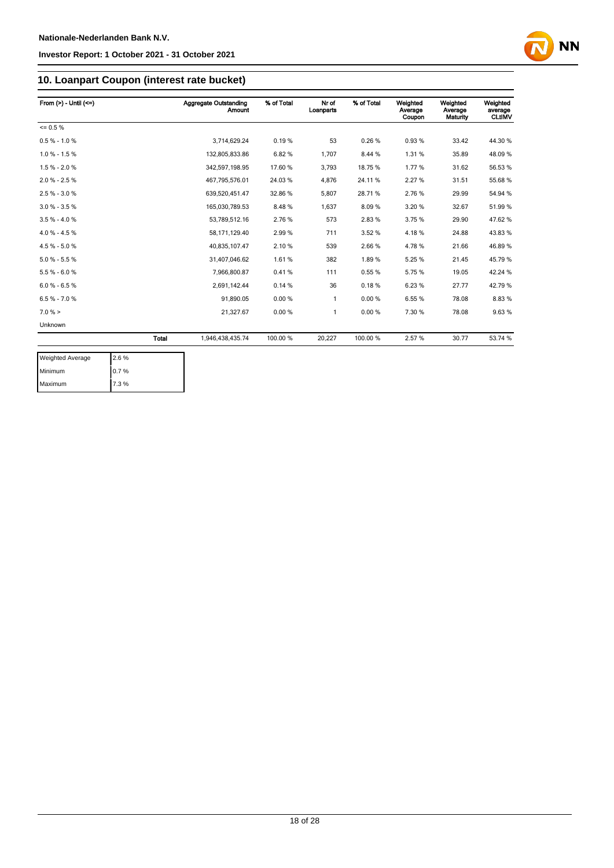

## **10. Loanpart Coupon (interest rate bucket)**

| From $(>) -$ Until $(<=)$ |              | Aggregate Outstanding<br><b>Amount</b> | % of Total | Nr of<br>Loanparts | % of Total | Weighted<br>Average<br>Coupon | Weighted<br>Average<br>Maturity | Weighted<br>average<br><b>CLtIMV</b> |
|---------------------------|--------------|----------------------------------------|------------|--------------------|------------|-------------------------------|---------------------------------|--------------------------------------|
| $= 0.5 \%$                |              |                                        |            |                    |            |                               |                                 |                                      |
| $0.5 % - 1.0 %$           |              | 3.714.629.24                           | 0.19%      | 53                 | 0.26%      | 0.93%                         | 33.42                           | 44.30 %                              |
| $1.0 \% - 1.5 \%$         |              | 132,805,833.86                         | 6.82%      | 1,707              | 8.44 %     | 1.31%                         | 35.89                           | 48.09%                               |
| $1.5% - 2.0%$             |              | 342,597,198.95                         | 17.60 %    | 3,793              | 18.75%     | 1.77%                         | 31.62                           | 56.53 %                              |
| $2.0 % - 2.5 %$           |              | 467,795,576.01                         | 24.03%     | 4,876              | 24.11%     | 2.27%                         | 31.51                           | 55.68 %                              |
| $2.5 \% - 3.0 \%$         |              | 639,520,451.47                         | 32.86 %    | 5,807              | 28.71%     | 2.76%                         | 29.99                           | 54.94 %                              |
| $3.0 % - 3.5 %$           |              | 165,030,789.53                         | 8.48%      | 1,637              | 8.09%      | 3.20%                         | 32.67                           | 51.99%                               |
| $3.5 \% - 4.0 \%$         |              | 53,789,512.16                          | 2.76%      | 573                | 2.83%      | 3.75%                         | 29.90                           | 47.62%                               |
| $4.0 \% - 4.5 \%$         |              | 58,171,129.40                          | 2.99%      | 711                | 3.52 %     | 4.18%                         | 24.88                           | 43.83%                               |
| $4.5 \% - 5.0 \%$         |              | 40.835.107.47                          | 2.10%      | 539                | 2.66%      | 4.78%                         | 21.66                           | 46.89%                               |
| $5.0 \% - 5.5 \%$         |              | 31,407,046.62                          | 1.61%      | 382                | 1.89%      | 5.25%                         | 21.45                           | 45.79%                               |
| $5.5% - 6.0%$             |              | 7,966,800.87                           | 0.41%      | 111                | 0.55%      | 5.75%                         | 19.05                           | 42.24 %                              |
| $6.0 % - 6.5 %$           |              | 2,691,142.44                           | 0.14%      | 36                 | 0.18%      | 6.23%                         | 27.77                           | 42.79%                               |
| $6.5 \% - 7.0 \%$         |              | 91,890.05                              | 0.00%      | 1                  | 0.00%      | 6.55%                         | 78.08                           | 8.83%                                |
| $7.0 \%$ >                |              | 21,327.67                              | 0.00%      | 1                  | 0.00%      | 7.30 %                        | 78.08                           | 9.63%                                |
| Unknown                   |              |                                        |            |                    |            |                               |                                 |                                      |
|                           | <b>Total</b> | 1,946,438,435.74                       | 100.00 %   | 20,227             | 100.00 %   | 2.57%                         | 30.77                           | 53.74 %                              |

| <b>Weighted Average</b> | 2.6% |
|-------------------------|------|
| Minimum                 | 0.7% |
| Maximum                 | 7.3% |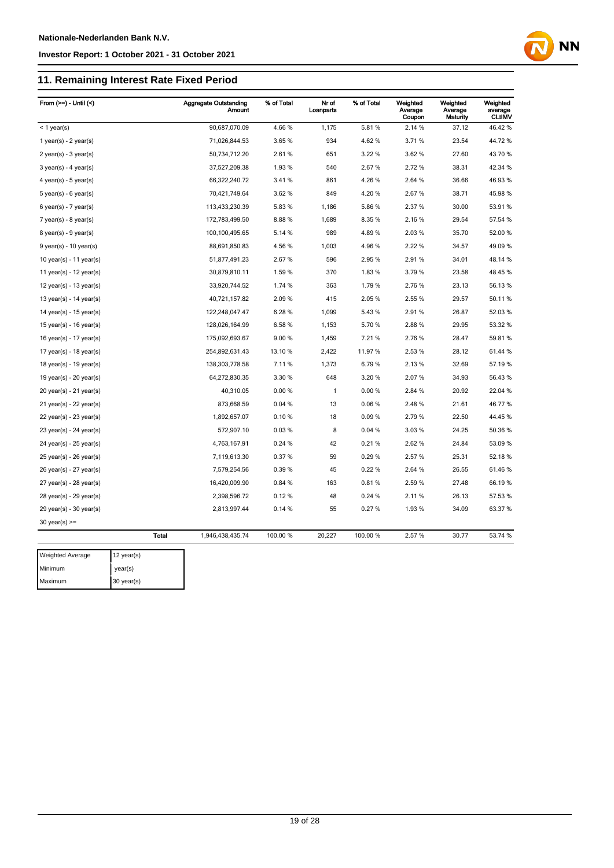## **11. Remaining Interest Rate Fixed Period**

| From $(>=) -$ Until $($     |                    | <b>Aggregate Outstanding</b><br>Amount | % of Total | Nr of<br>Loanparts | % of Total | Weighted<br>Average<br>Coupon | Weighted<br>Average<br>Maturity | Weighted<br>average<br><b>CLtIMV</b> |
|-----------------------------|--------------------|----------------------------------------|------------|--------------------|------------|-------------------------------|---------------------------------|--------------------------------------|
| $<$ 1 year(s)               |                    | 90,687,070.09                          | 4.66%      | 1,175              | 5.81%      | 2.14 %                        | 37.12                           | 46.42%                               |
| 1 year(s) - $2$ year(s)     |                    | 71,026,844.53                          | 3.65%      | 934                | 4.62%      | 3.71%                         | 23.54                           | 44.72%                               |
| $2$ year(s) - $3$ year(s)   |                    | 50,734,712.20                          | 2.61%      | 651                | 3.22 %     | 3.62 %                        | 27.60                           | 43.70 %                              |
| $3$ year(s) - 4 year(s)     |                    | 37,527,209.38                          | 1.93%      | 540                | 2.67%      | 2.72%                         | 38.31                           | 42.34 %                              |
| 4 year(s) - $5$ year(s)     |                    | 66,322,240.72                          | 3.41%      | 861                | 4.26%      | 2.64 %                        | 36.66                           | 46.93%                               |
| $5$ year(s) - 6 year(s)     |                    | 70,421,749.64                          | 3.62 %     | 849                | 4.20%      | 2.67%                         | 38.71                           | 45.98 %                              |
| $6$ year(s) - 7 year(s)     |                    | 113,433,230.39                         | 5.83%      | 1,186              | 5.86%      | 2.37%                         | 30.00                           | 53.91 %                              |
| $7$ year(s) - 8 year(s)     |                    | 172,783,499.50                         | 8.88%      | 1,689              | 8.35%      | 2.16%                         | 29.54                           | 57.54 %                              |
| $8$ year(s) - $9$ year(s)   |                    | 100,100,495.65                         | 5.14 %     | 989                | 4.89%      | 2.03%                         | 35.70                           | 52.00 %                              |
| $9$ year(s) - 10 year(s)    |                    | 88,691,850.83                          | 4.56 %     | 1,003              | 4.96%      | 2.22 %                        | 34.57                           | 49.09 %                              |
| 10 year(s) - 11 year(s)     |                    | 51,877,491.23                          | 2.67%      | 596                | 2.95%      | 2.91%                         | 34.01                           | 48.14 %                              |
| 11 year(s) - $12$ year(s)   |                    | 30,879,810.11                          | 1.59 %     | 370                | 1.83%      | 3.79%                         | 23.58                           | 48.45 %                              |
| 12 year(s) - 13 year(s)     |                    | 33,920,744.52                          | 1.74 %     | 363                | 1.79%      | 2.76 %                        | 23.13                           | 56.13 %                              |
| 13 year(s) - 14 year(s)     |                    | 40,721,157.82                          | 2.09%      | 415                | 2.05%      | 2.55%                         | 29.57                           | 50.11%                               |
| 14 year(s) - 15 year(s)     |                    | 122,248,047.47                         | 6.28%      | 1,099              | 5.43%      | 2.91%                         | 26.87                           | 52.03%                               |
| 15 year(s) - 16 year(s)     |                    | 128,026,164.99                         | 6.58%      | 1,153              | 5.70%      | 2.88%                         | 29.95                           | 53.32 %                              |
| 16 year(s) - 17 year(s)     |                    | 175,092,693.67                         | 9.00%      | 1,459              | 7.21%      | 2.76%                         | 28.47                           | 59.81 %                              |
| 17 year(s) - 18 year(s)     |                    | 254,892,631.43                         | 13.10 %    | 2,422              | 11.97%     | 2.53%                         | 28.12                           | 61.44 %                              |
| 18 year(s) - 19 year(s)     |                    | 138,303,778.58                         | 7.11%      | 1,373              | 6.79%      | 2.13%                         | 32.69                           | 57.19 %                              |
| 19 year(s) - $20$ year(s)   |                    | 64,272,830.35                          | 3.30 %     | 648                | 3.20%      | 2.07%                         | 34.93                           | 56.43 %                              |
| 20 year(s) - 21 year(s)     |                    | 40,310.05                              | 0.00%      | 1                  | 0.00%      | 2.84 %                        | 20.92                           | 22.04 %                              |
| 21 year(s) - 22 year(s)     |                    | 873,668.59                             | 0.04 %     | 13                 | 0.06%      | 2.48%                         | 21.61                           | 46.77%                               |
| $22$ year(s) - $23$ year(s) |                    | 1,892,657.07                           | 0.10%      | 18                 | 0.09%      | 2.79%                         | 22.50                           | 44.45 %                              |
| 23 year(s) - 24 year(s)     |                    | 572,907.10                             | 0.03%      | 8                  | 0.04%      | 3.03%                         | 24.25                           | 50.36 %                              |
| 24 year(s) - 25 year(s)     |                    | 4,763,167.91                           | 0.24 %     | 42                 | 0.21%      | 2.62%                         | 24.84                           | 53.09 %                              |
| $25$ year(s) - $26$ year(s) |                    | 7,119,613.30                           | 0.37%      | 59                 | 0.29%      | 2.57%                         | 25.31                           | 52.18 %                              |
| 26 year(s) - 27 year(s)     |                    | 7,579,254.56                           | 0.39%      | 45                 | 0.22%      | 2.64 %                        | 26.55                           | 61.46%                               |
| 27 year(s) - 28 year(s)     |                    | 16,420,009.90                          | 0.84 %     | 163                | 0.81%      | 2.59%                         | 27.48                           | 66.19%                               |
| 28 year(s) - 29 year(s)     |                    | 2,398,596.72                           | 0.12%      | 48                 | 0.24 %     | 2.11%                         | 26.13                           | 57.53 %                              |
| $29$ year(s) - 30 year(s)   |                    | 2,813,997.44                           | 0.14%      | 55                 | 0.27%      | 1.93%                         | 34.09                           | 63.37 %                              |
| $30$ year(s) $>=$           |                    |                                        |            |                    |            |                               |                                 |                                      |
|                             | <b>Total</b>       | 1,946,438,435.74                       | 100.00 %   | 20,227             | 100.00%    | 2.57%                         | 30.77                           | 53.74 %                              |
| Weighted Average            | $12$ year(s)       |                                        |            |                    |            |                               |                                 |                                      |
| Minimum                     | $v\circ\circ r(c)$ |                                        |            |                    |            |                               |                                 |                                      |

**NN** 

year(s) Maximum 30 year(s)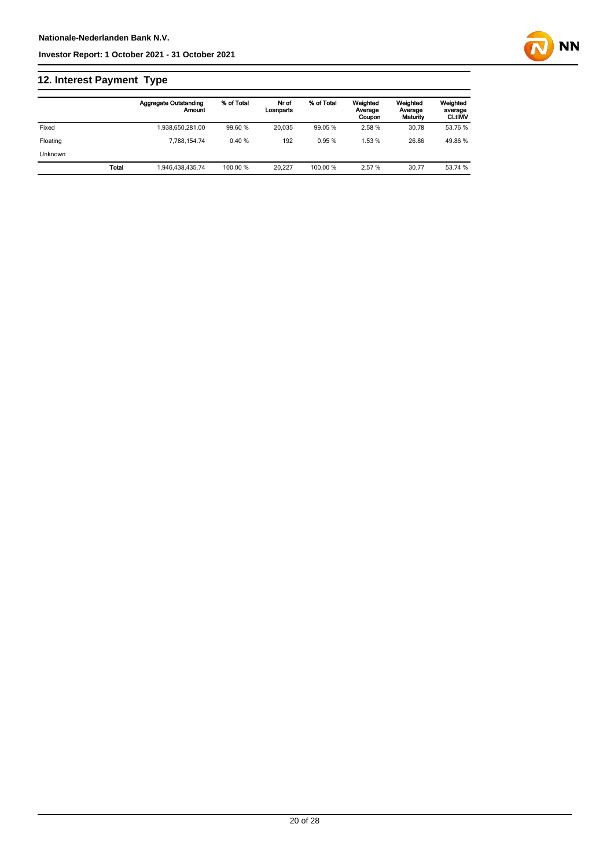## **12. Interest Payment Type**

|          |              | <b>Aggregate Outstanding</b><br>Amount | % of Total | Nr of<br>Loanparts | % of Total | Weighted<br>Average<br>Coupon | Weighted<br>Average<br>Maturity | Weighted<br>average<br><b>CLtIMV</b> |
|----------|--------------|----------------------------------------|------------|--------------------|------------|-------------------------------|---------------------------------|--------------------------------------|
| Fixed    |              | 1.938.650.281.00                       | 99.60 %    | 20.035             | 99.05 %    | 2.58%                         | 30.78                           | 53.76 %                              |
| Floating |              | 7.788.154.74                           | 0.40%      | 192                | 0.95%      | 1.53%                         | 26.86                           | 49.86 %                              |
| Unknown  |              |                                        |            |                    |            |                               |                                 |                                      |
|          | <b>Total</b> | 1.946.438.435.74                       | 100.00 %   | 20.227             | 100.00 %   | 2.57 %                        | 30.77                           | 53.74 %                              |

**NN**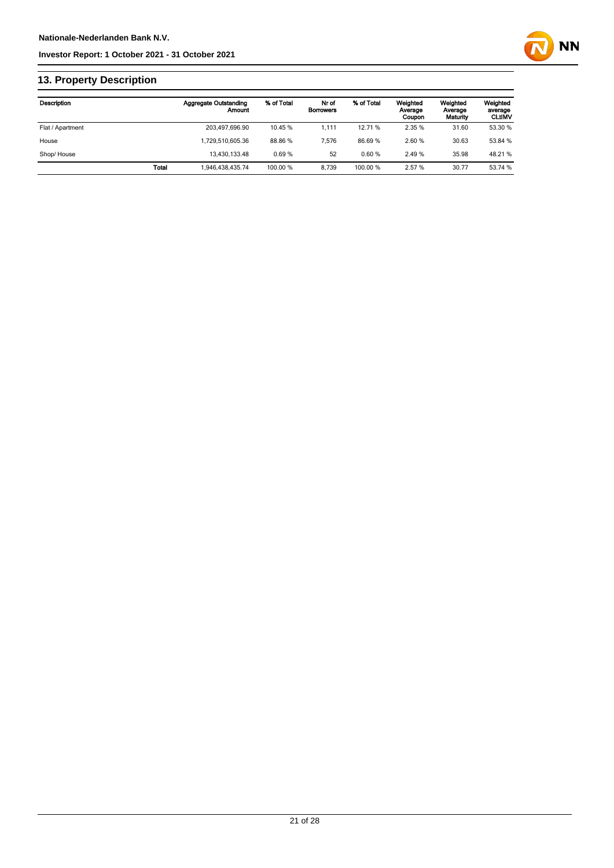

## **13. Property Description**

| Description      |              | <b>Aggregate Outstanding</b><br>Amount | % of Total | Nr of<br><b>Borrowers</b> | % of Total | Weighted<br>Average<br>Coupon | Weighted<br>Average<br>Maturity | Weighted<br>average<br><b>CLtIMV</b> |
|------------------|--------------|----------------------------------------|------------|---------------------------|------------|-------------------------------|---------------------------------|--------------------------------------|
| Flat / Apartment |              | 203,497,696.90                         | 10.45 %    | 1.111                     | 12.71 %    | 2.35 %                        | 31.60                           | 53.30 %                              |
| House            |              | 1.729.510.605.36                       | 88.86 %    | 7.576                     | 86.69%     | 2.60%                         | 30.63                           | 53.84 %                              |
| Shop/House       |              | 13.430.133.48                          | 0.69%      | 52                        | 0.60%      | 2.49%                         | 35.98                           | 48.21%                               |
|                  | <b>Total</b> | 1.946.438.435.74                       | 100.00 %   | 8.739                     | 100.00 %   | 2.57 %                        | 30.77                           | 53.74 %                              |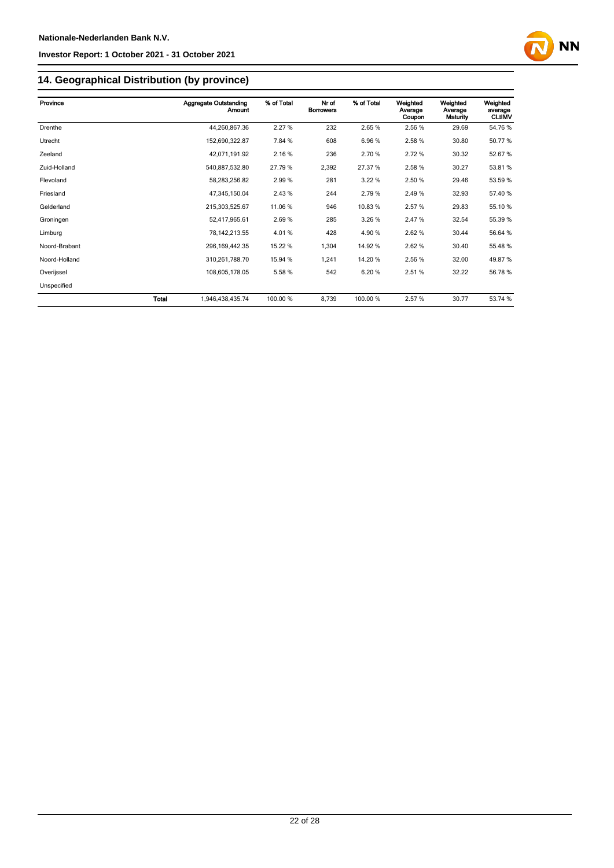

## **14. Geographical Distribution (by province)**

| Province      |       | <b>Aggregate Outstanding</b><br>Amount | % of Total | Nr of<br><b>Borrowers</b> | % of Total | Weighted<br>Average<br>Coupon | Weighted<br>Average<br>Maturity | Weighted<br>average<br><b>CLtIMV</b> |
|---------------|-------|----------------------------------------|------------|---------------------------|------------|-------------------------------|---------------------------------|--------------------------------------|
| Drenthe       |       | 44,260,867.36                          | 2.27 %     | 232                       | 2.65%      | 2.56 %                        | 29.69                           | 54.76%                               |
| Utrecht       |       | 152,690,322.87                         | 7.84 %     | 608                       | 6.96%      | 2.58%                         | 30.80                           | 50.77 %                              |
| Zeeland       |       | 42,071,191.92                          | 2.16%      | 236                       | 2.70 %     | 2.72%                         | 30.32                           | 52.67%                               |
| Zuid-Holland  |       | 540,887,532.80                         | 27.79 %    | 2,392                     | 27.37 %    | 2.58 %                        | 30.27                           | 53.81 %                              |
| Flevoland     |       | 58,283,256.82                          | 2.99%      | 281                       | 3.22 %     | 2.50 %                        | 29.46                           | 53.59 %                              |
| Friesland     |       | 47,345,150.04                          | 2.43 %     | 244                       | 2.79%      | 2.49%                         | 32.93                           | 57.40 %                              |
| Gelderland    |       | 215,303,525.67                         | 11.06 %    | 946                       | 10.83%     | 2.57%                         | 29.83                           | 55.10 %                              |
| Groningen     |       | 52,417,965.61                          | 2.69%      | 285                       | 3.26%      | 2.47%                         | 32.54                           | 55.39 %                              |
| Limburg       |       | 78, 142, 213.55                        | 4.01%      | 428                       | 4.90 %     | 2.62%                         | 30.44                           | 56.64 %                              |
| Noord-Brabant |       | 296, 169, 442. 35                      | 15.22 %    | 1,304                     | 14.92%     | 2.62%                         | 30.40                           | 55.48 %                              |
| Noord-Holland |       | 310,261,788.70                         | 15.94 %    | 1,241                     | 14.20%     | 2.56 %                        | 32.00                           | 49.87%                               |
| Overijssel    |       | 108,605,178.05                         | 5.58 %     | 542                       | 6.20%      | 2.51%                         | 32.22                           | 56.78 %                              |
| Unspecified   |       |                                        |            |                           |            |                               |                                 |                                      |
|               | Total | 1,946,438,435.74                       | 100.00 %   | 8,739                     | 100.00 %   | 2.57%                         | 30.77                           | 53.74 %                              |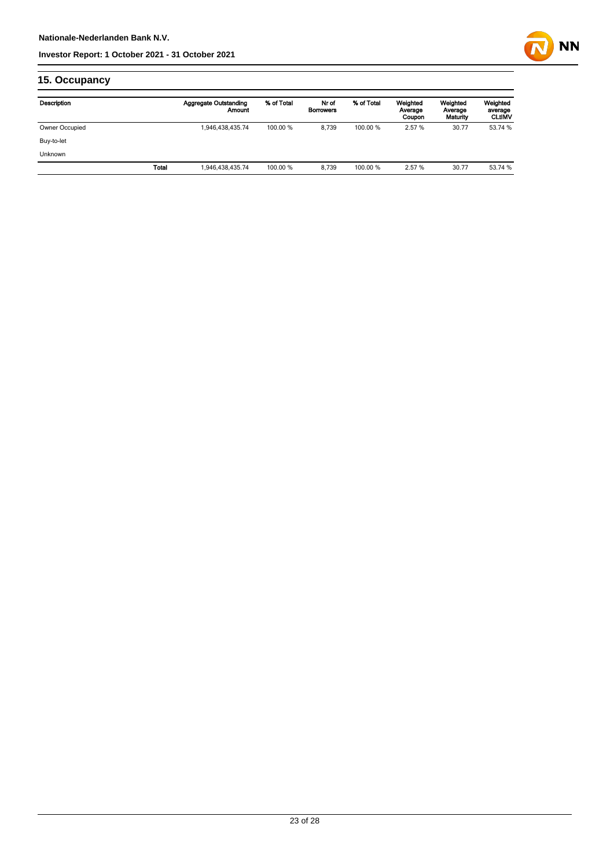

## **15. Occupancy**

| Description    |              | <b>Aggregate Outstanding</b><br>Amount | % of Total | Nr of<br><b>Borrowers</b> | % of Total | Weighted<br>Average<br>Coupon | Weighted<br>Average<br>Maturity | Weighted<br>average<br><b>CLtIMV</b> |
|----------------|--------------|----------------------------------------|------------|---------------------------|------------|-------------------------------|---------------------------------|--------------------------------------|
| Owner Occupied |              | 1,946,438,435.74                       | 100.00 %   | 8.739                     | 100.00 %   | 2.57 %                        | 30.77                           | 53.74 %                              |
| Buy-to-let     |              |                                        |            |                           |            |                               |                                 |                                      |
| <b>Unknown</b> |              |                                        |            |                           |            |                               |                                 |                                      |
|                | <b>Total</b> | 1,946,438,435.74                       | 100.00 %   | 8.739                     | 100.00 %   | 2.57 %                        | 30.77                           | 53.74 %                              |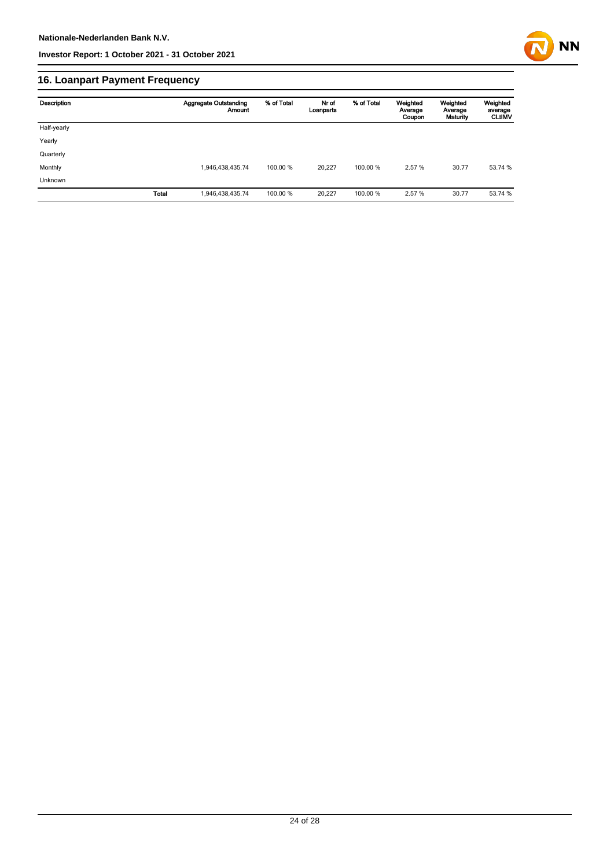

## **16. Loanpart Payment Frequency**

| Description | <b>Aggregate Outstanding</b><br>Amount | % of Total | Nr of<br>Loanparts | % of Total | Weighted<br>Average<br>Coupon | Weighted<br>Average<br>Maturity | Weighted<br>average<br><b>CLUMV</b> |
|-------------|----------------------------------------|------------|--------------------|------------|-------------------------------|---------------------------------|-------------------------------------|
| Half-yearly |                                        |            |                    |            |                               |                                 |                                     |
| Yearly      |                                        |            |                    |            |                               |                                 |                                     |
| Quarterly   |                                        |            |                    |            |                               |                                 |                                     |
| Monthly     | 1,946,438,435.74                       | 100.00 %   | 20.227             | 100.00 %   | 2.57 %                        | 30.77                           | 53.74 %                             |
| Unknown     |                                        |            |                    |            |                               |                                 |                                     |
|             | <b>Total</b><br>1,946,438,435.74       | 100.00 %   | 20,227             | 100.00 %   | 2.57 %                        | 30.77                           | 53.74 %                             |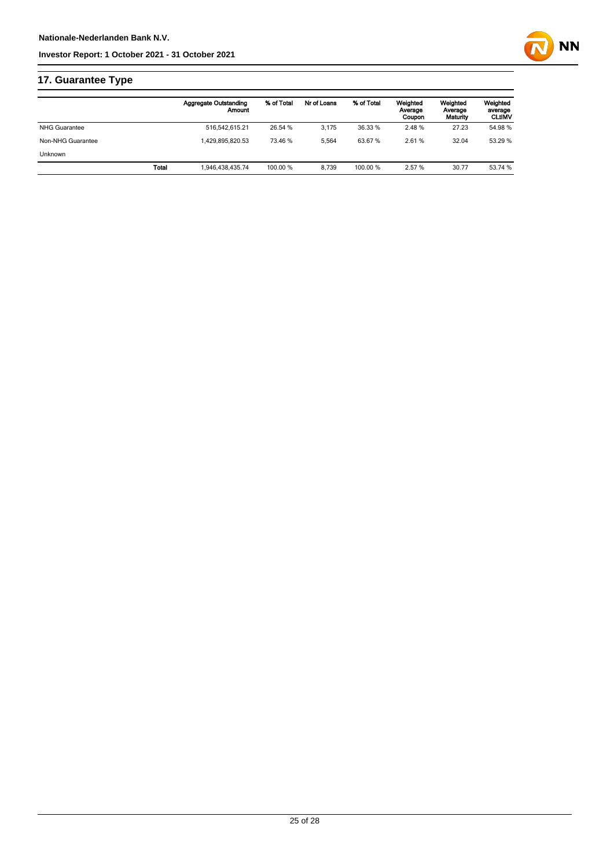

## **17. Guarantee Type**

|                      | <b>Aggregate Outstanding</b><br>Amount | % of Total | Nr of Loans | % of Total | Weighted<br>Average<br>Coupon | Weighted<br>Average<br>Maturity | Weighted<br>average<br><b>CLtIMV</b> |
|----------------------|----------------------------------------|------------|-------------|------------|-------------------------------|---------------------------------|--------------------------------------|
| <b>NHG Guarantee</b> | 516.542.615.21                         | 26.54 %    | 3.175       | 36.33 %    | 2.48%                         | 27.23                           | 54.98 %                              |
| Non-NHG Guarantee    | 1.429.895.820.53                       | 73.46 %    | 5.564       | 63.67%     | 2.61%                         | 32.04                           | 53.29 %                              |
| <b>Unknown</b>       |                                        |            |             |            |                               |                                 |                                      |
|                      | Total<br>1,946,438,435.74              | 100.00 %   | 8.739       | 100.00 %   | 2.57 %                        | 30.77                           | 53.74 %                              |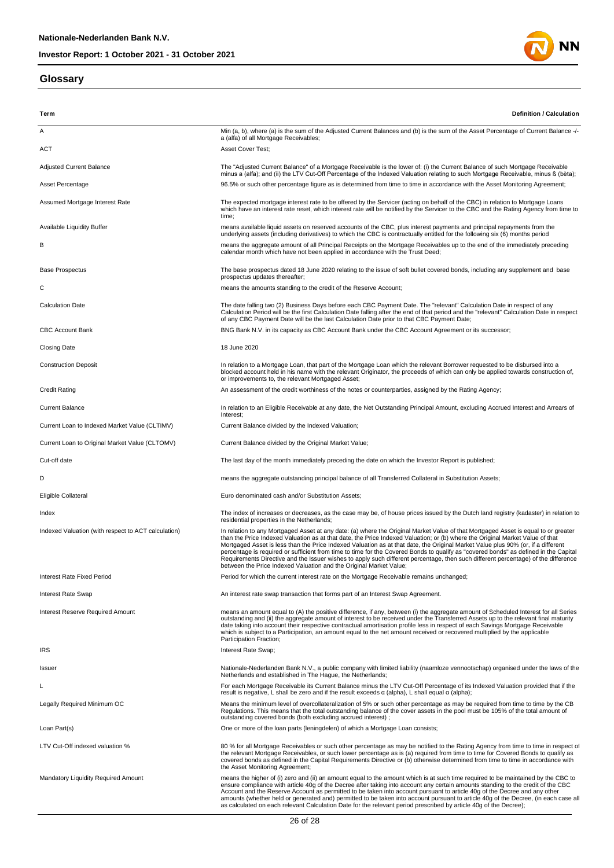#### **Glossary**



| Term                                                | <b>Definition / Calculation</b>                                                                                                                                                                                                                                                                                                                                                                                                                                                                                                                                                                                                                                |
|-----------------------------------------------------|----------------------------------------------------------------------------------------------------------------------------------------------------------------------------------------------------------------------------------------------------------------------------------------------------------------------------------------------------------------------------------------------------------------------------------------------------------------------------------------------------------------------------------------------------------------------------------------------------------------------------------------------------------------|
| Α                                                   | Min (a, b), where (a) is the sum of the Adjusted Current Balances and (b) is the sum of the Asset Percentage of Current Balance -/-                                                                                                                                                                                                                                                                                                                                                                                                                                                                                                                            |
|                                                     | a (alfa) of all Mortgage Receivables;                                                                                                                                                                                                                                                                                                                                                                                                                                                                                                                                                                                                                          |
| ACT                                                 | Asset Cover Test;                                                                                                                                                                                                                                                                                                                                                                                                                                                                                                                                                                                                                                              |
| <b>Adjusted Current Balance</b>                     | The "Adjusted Current Balance" of a Mortgage Receivable is the lower of: (i) the Current Balance of such Mortgage Receivable<br>minus a (alfa); and (ii) the LTV Cut-Off Percentage of the Indexed Valuation relating to such Mortgage Receivable, minus ß (bèta);                                                                                                                                                                                                                                                                                                                                                                                             |
| Asset Percentage                                    | 96.5% or such other percentage figure as is determined from time to time in accordance with the Asset Monitoring Agreement;                                                                                                                                                                                                                                                                                                                                                                                                                                                                                                                                    |
| Assumed Mortgage Interest Rate                      | The expected mortgage interest rate to be offered by the Servicer (acting on behalf of the CBC) in relation to Mortgage Loans<br>which have an interest rate reset, which interest rate will be notified by the Servicer to the CBC and the Rating Agency from time to<br>time;                                                                                                                                                                                                                                                                                                                                                                                |
| Available Liquidity Buffer                          | means available liquid assets on reserved accounts of the CBC, plus interest payments and principal repayments from the<br>underlying assets (including derivatives) to which the CBC is contractually entitled for the following six (6) months period                                                                                                                                                                                                                                                                                                                                                                                                        |
| в                                                   | means the aggregate amount of all Principal Receipts on the Mortgage Receivables up to the end of the immediately preceding<br>calendar month which have not been applied in accordance with the Trust Deed;                                                                                                                                                                                                                                                                                                                                                                                                                                                   |
| <b>Base Prospectus</b>                              | The base prospectus dated 18 June 2020 relating to the issue of soft bullet covered bonds, including any supplement and base<br>prospectus updates thereafter;                                                                                                                                                                                                                                                                                                                                                                                                                                                                                                 |
| С                                                   | means the amounts standing to the credit of the Reserve Account;                                                                                                                                                                                                                                                                                                                                                                                                                                                                                                                                                                                               |
| <b>Calculation Date</b>                             | The date falling two (2) Business Days before each CBC Payment Date. The "relevant" Calculation Date in respect of any<br>Calculation Period will be the first Calculation Date falling after the end of that period and the "relevant" Calculation Date in respect<br>of any CBC Payment Date will be the last Calculation Date prior to that CBC Payment Date;                                                                                                                                                                                                                                                                                               |
| <b>CBC Account Bank</b>                             | BNG Bank N.V. in its capacity as CBC Account Bank under the CBC Account Agreement or its successor;                                                                                                                                                                                                                                                                                                                                                                                                                                                                                                                                                            |
| <b>Closing Date</b>                                 | 18 June 2020                                                                                                                                                                                                                                                                                                                                                                                                                                                                                                                                                                                                                                                   |
| <b>Construction Deposit</b>                         | In relation to a Mortgage Loan, that part of the Mortgage Loan which the relevant Borrower requested to be disbursed into a<br>blocked account held in his name with the relevant Originator, the proceeds of which can only be applied towards construction of,<br>or improvements to, the relevant Mortgaged Asset;                                                                                                                                                                                                                                                                                                                                          |
| Credit Rating                                       | An assessment of the credit worthiness of the notes or counterparties, assigned by the Rating Agency;                                                                                                                                                                                                                                                                                                                                                                                                                                                                                                                                                          |
| <b>Current Balance</b>                              | In relation to an Eligible Receivable at any date, the Net Outstanding Principal Amount, excluding Accrued Interest and Arrears of<br>Interest;                                                                                                                                                                                                                                                                                                                                                                                                                                                                                                                |
| Current Loan to Indexed Market Value (CLTIMV)       | Current Balance divided by the Indexed Valuation;                                                                                                                                                                                                                                                                                                                                                                                                                                                                                                                                                                                                              |
| Current Loan to Original Market Value (CLTOMV)      | Current Balance divided by the Original Market Value;                                                                                                                                                                                                                                                                                                                                                                                                                                                                                                                                                                                                          |
| Cut-off date                                        | The last day of the month immediately preceding the date on which the Investor Report is published;                                                                                                                                                                                                                                                                                                                                                                                                                                                                                                                                                            |
| D                                                   | means the aggregate outstanding principal balance of all Transferred Collateral in Substitution Assets;                                                                                                                                                                                                                                                                                                                                                                                                                                                                                                                                                        |
| Eligible Collateral                                 | Euro denominated cash and/or Substitution Assets;                                                                                                                                                                                                                                                                                                                                                                                                                                                                                                                                                                                                              |
| Index                                               | The index of increases or decreases, as the case may be, of house prices issued by the Dutch land registry (kadaster) in relation to                                                                                                                                                                                                                                                                                                                                                                                                                                                                                                                           |
|                                                     | residential properties in the Netherlands;<br>In relation to any Mortgaged Asset at any date: (a) where the Original Market Value of that Mortgaged Asset is equal to or greater                                                                                                                                                                                                                                                                                                                                                                                                                                                                               |
| Indexed Valuation (with respect to ACT calculation) | than the Price Indexed Valuation as at that date, the Price Indexed Valuation; or (b) where the Original Market Value of that<br>Mortgaged Asset is less than the Price Indexed Valuation as at that date, the Original Market Value plus 90% (or, if a different<br>percentage is required or sufficient from time to time for the Covered Bonds to qualify as "covered bonds" as defined in the Capital<br>Requirements Directive and the Issuer wishes to apply such different percentage, then such different percentage) of the difference<br>between the Price Indexed Valuation and the Original Market Value;                                          |
| Interest Rate Fixed Period                          | Period for which the current interest rate on the Mortgage Receivable remains unchanged;                                                                                                                                                                                                                                                                                                                                                                                                                                                                                                                                                                       |
| Interest Rate Swap                                  | An interest rate swap transaction that forms part of an Interest Swap Agreement.                                                                                                                                                                                                                                                                                                                                                                                                                                                                                                                                                                               |
| <b>Interest Reserve Required Amount</b>             | means an amount equal to (A) the positive difference, if any, between (i) the aggregate amount of Scheduled Interest for all Series<br>outstanding and (ii) the aggregate amount of interest to be received under the Transferred Assets up to the relevant final maturity<br>date taking into account their respective contractual amortisation profile less in respect of each Savings Mortgage Receivable<br>which is subject to a Participation, an amount equal to the net amount received or recovered multiplied by the applicable<br>Participation Fraction;                                                                                           |
| IRS                                                 | Interest Rate Swap;                                                                                                                                                                                                                                                                                                                                                                                                                                                                                                                                                                                                                                            |
| Issuer                                              | Nationale-Nederlanden Bank N.V., a public company with limited liability (naamloze vennootschap) organised under the laws of the<br>Netherlands and established in The Haque, the Netherlands;                                                                                                                                                                                                                                                                                                                                                                                                                                                                 |
| L                                                   | For each Mortgage Receivable its Current Balance minus the LTV Cut-Off Percentage of its Indexed Valuation provided that if the<br>result is negative, L shall be zero and if the result exceeds $\alpha$ (alpha), L shall equal $\alpha$ (alpha);                                                                                                                                                                                                                                                                                                                                                                                                             |
| Legally Required Minimum OC                         | Means the minimum level of overcollateralization of 5% or such other percentage as may be required from time to time by the CB<br>Regulations. This means that the total outstanding balance of the cover assets in the pool must be 105% of the total amount of<br>outstanding covered bonds (both excluding accrued interest);                                                                                                                                                                                                                                                                                                                               |
| Loan Part(s)                                        | One or more of the loan parts (leningdelen) of which a Mortgage Loan consists;                                                                                                                                                                                                                                                                                                                                                                                                                                                                                                                                                                                 |
| LTV Cut-Off indexed valuation %                     | 80 % for all Mortgage Receivables or such other percentage as may be notified to the Rating Agency from time to time in respect of<br>the relevant Mortgage Receivables, or such lower percentage as is (a) required from time to time for Covered Bonds to qualify as<br>covered bonds as defined in the Capital Requirements Directive or (b) otherwise determined from time to time in accordance with<br>the Asset Monitoring Agreement;                                                                                                                                                                                                                   |
| Mandatory Liquidity Required Amount                 | means the higher of (i) zero and (ii) an amount equal to the amount which is at such time required to be maintained by the CBC to<br>ensure compliance with article 40g of the Decree after taking into account any certain amounts standing to the credit of the CBC<br>Account and the Reserve Account as permitted to be taken into account pursuant to article 40g of the Decree and any other<br>amounts (whether held or generated and) permitted to be taken into account pursuant to article 40g of the Decree, (in each case all<br>as calculated on each relevant Calculation Date for the relevant period prescribed by article 40g of the Decree); |

26 of 28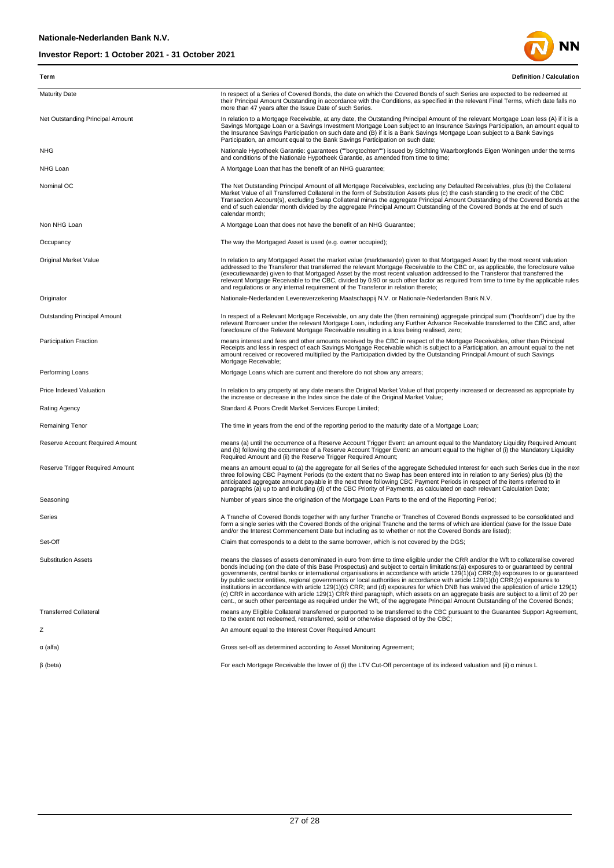

| Term                             | <b>Definition / Calculation</b>                                                                                                                                                                                                                                                                                                                                                                                                                                                                                                                                                                                                                                                                                                                                                                                                                                                                                                                              |
|----------------------------------|--------------------------------------------------------------------------------------------------------------------------------------------------------------------------------------------------------------------------------------------------------------------------------------------------------------------------------------------------------------------------------------------------------------------------------------------------------------------------------------------------------------------------------------------------------------------------------------------------------------------------------------------------------------------------------------------------------------------------------------------------------------------------------------------------------------------------------------------------------------------------------------------------------------------------------------------------------------|
| <b>Maturity Date</b>             | In respect of a Series of Covered Bonds, the date on which the Covered Bonds of such Series are expected to be redeemed at<br>their Principal Amount Outstanding in accordance with the Conditions, as specified in the relevant Final Terms, which date falls no<br>more than 47 years after the Issue Date of such Series.                                                                                                                                                                                                                                                                                                                                                                                                                                                                                                                                                                                                                                 |
| Net Outstanding Principal Amount | In relation to a Mortgage Receivable, at any date, the Outstanding Principal Amount of the relevant Mortgage Loan less (A) if it is a<br>Savings Mortgage Loan or a Savings Investment Mortgage Loan subject to an Insurance Savings Participation, an amount equal to<br>the Insurance Savings Participation on such date and (B) if it is a Bank Savings Mortgage Loan subject to a Bank Savings<br>Participation, an amount equal to the Bank Savings Participation on such date;                                                                                                                                                                                                                                                                                                                                                                                                                                                                         |
| <b>NHG</b>                       | Nationale Hypotheek Garantie: guarantees (""borgtochten"") issued by Stichting Waarborgfonds Eigen Woningen under the terms<br>and conditions of the Nationale Hypotheek Garantie, as amended from time to time;                                                                                                                                                                                                                                                                                                                                                                                                                                                                                                                                                                                                                                                                                                                                             |
| NHG Loan                         | A Mortgage Loan that has the benefit of an NHG guarantee;                                                                                                                                                                                                                                                                                                                                                                                                                                                                                                                                                                                                                                                                                                                                                                                                                                                                                                    |
| Nominal OC                       | The Net Outstanding Principal Amount of all Mortgage Receivables, excluding any Defaulted Receivables, plus (b) the Collateral<br>Market Value of all Transferred Collateral in the form of Substitution Assets plus (c) the cash standing to the credit of the CBC<br>Transaction Account(s), excluding Swap Collateral minus the aggregate Principal Amount Outstanding of the Covered Bonds at the<br>end of such calendar month divided by the aggregate Principal Amount Outstanding of the Covered Bonds at the end of such<br>calendar month;                                                                                                                                                                                                                                                                                                                                                                                                         |
| Non NHG Loan                     | A Mortgage Loan that does not have the benefit of an NHG Guarantee;                                                                                                                                                                                                                                                                                                                                                                                                                                                                                                                                                                                                                                                                                                                                                                                                                                                                                          |
| Occupancy                        | The way the Mortgaged Asset is used (e.g. owner occupied);                                                                                                                                                                                                                                                                                                                                                                                                                                                                                                                                                                                                                                                                                                                                                                                                                                                                                                   |
| <b>Original Market Value</b>     | In relation to any Mortgaged Asset the market value (marktwaarde) given to that Mortgaged Asset by the most recent valuation<br>addressed to the Transferor that transferred the relevant Mortgage Receivable to the CBC or, as applicable, the foreclosure value<br>(executiewaarde) given to that Mortgaged Asset by the most recent valuation addressed to the Transferor that transferred the<br>relevant Mortgage Receivable to the CBC, divided by 0.90 or such other factor as required from time to time by the applicable rules<br>and regulations or any internal requirement of the Transferor in relation thereto;                                                                                                                                                                                                                                                                                                                               |
| Originator                       | Nationale-Nederlanden Levensverzekering Maatschappij N.V. or Nationale-Nederlanden Bank N.V.                                                                                                                                                                                                                                                                                                                                                                                                                                                                                                                                                                                                                                                                                                                                                                                                                                                                 |
| Outstanding Principal Amount     | In respect of a Relevant Mortgage Receivable, on any date the (then remaining) aggregate principal sum ("hoofdsom") due by the<br>relevant Borrower under the relevant Mortgage Loan, including any Further Advance Receivable transferred to the CBC and, after<br>foreclosure of the Relevant Mortgage Receivable resulting in a loss being realised, zero;                                                                                                                                                                                                                                                                                                                                                                                                                                                                                                                                                                                                |
| <b>Participation Fraction</b>    | means interest and fees and other amounts received by the CBC in respect of the Mortgage Receivables, other than Principal<br>Receipts and less in respect of each Savings Mortgage Receivable which is subject to a Participation, an amount equal to the net<br>amount received or recovered multiplied by the Participation divided by the Outstanding Principal Amount of such Savings<br>Mortgage Receivable;                                                                                                                                                                                                                                                                                                                                                                                                                                                                                                                                           |
| Performing Loans                 | Mortgage Loans which are current and therefore do not show any arrears;                                                                                                                                                                                                                                                                                                                                                                                                                                                                                                                                                                                                                                                                                                                                                                                                                                                                                      |
| Price Indexed Valuation          | In relation to any property at any date means the Original Market Value of that property increased or decreased as appropriate by<br>the increase or decrease in the Index since the date of the Original Market Value;                                                                                                                                                                                                                                                                                                                                                                                                                                                                                                                                                                                                                                                                                                                                      |
| <b>Rating Agency</b>             | Standard & Poors Credit Market Services Europe Limited;                                                                                                                                                                                                                                                                                                                                                                                                                                                                                                                                                                                                                                                                                                                                                                                                                                                                                                      |
| Remaining Tenor                  | The time in years from the end of the reporting period to the maturity date of a Mortgage Loan;                                                                                                                                                                                                                                                                                                                                                                                                                                                                                                                                                                                                                                                                                                                                                                                                                                                              |
| Reserve Account Required Amount  | means (a) until the occurrence of a Reserve Account Trigger Event: an amount equal to the Mandatory Liquidity Required Amount<br>and (b) following the occurrence of a Reserve Account Trigger Event: an amount equal to the higher of (i) the Mandatory Liquidity<br>Required Amount and (ii) the Reserve Trigger Required Amount;                                                                                                                                                                                                                                                                                                                                                                                                                                                                                                                                                                                                                          |
| Reserve Trigger Required Amount  | means an amount equal to (a) the aggregate for all Series of the aggregate Scheduled Interest for each such Series due in the next<br>three following CBC Payment Periods (to the extent that no Swap has been entered into in relation to any Series) plus (b) the<br>anticipated aggregate amount payable in the next three following CBC Payment Periods in respect of the items referred to in<br>paragraphs (a) up to and including (d) of the CBC Priority of Payments, as calculated on each relevant Calculation Date;                                                                                                                                                                                                                                                                                                                                                                                                                               |
| Seasoning                        | Number of years since the origination of the Mortgage Loan Parts to the end of the Reporting Period;                                                                                                                                                                                                                                                                                                                                                                                                                                                                                                                                                                                                                                                                                                                                                                                                                                                         |
| Series                           | A Tranche of Covered Bonds together with any further Tranche or Tranches of Covered Bonds expressed to be consolidated and<br>form a single series with the Covered Bonds of the original Tranche and the terms of which are identical (save for the Issue Date<br>and/or the Interest Commencement Date but including as to whether or not the Covered Bonds are listed);                                                                                                                                                                                                                                                                                                                                                                                                                                                                                                                                                                                   |
| Set-Off                          | Claim that corresponds to a debt to the same borrower, which is not covered by the DGS;                                                                                                                                                                                                                                                                                                                                                                                                                                                                                                                                                                                                                                                                                                                                                                                                                                                                      |
| <b>Substitution Assets</b>       | means the classes of assets denominated in euro from time to time eligible under the CRR and/or the Wft to collateralise covered<br>bonds including (on the date of this Base Prospectus) and subject to certain limitations:(a) exposures to or guaranteed by central<br>governments, central banks or international organisations in accordance with article 129(1)(a) CRR;(b) exposures to or quaranteed<br>by public sector entities, regional governments or local authorities in accordance with article 129(1)(b) CRR;(c) exposures to<br>institutions in accordance with article 129(1)(c) CRR; and (d) exposures for which DNB has waived the application of article 129(1)<br>(c) CRR in accordance with article 129(1) CRR third paragraph, which assets on an aggregate basis are subject to a limit of 20 per<br>cent., or such other percentage as required under the Wft, of the aggregate Principal Amount Outstanding of the Covered Bonds; |
| <b>Transferred Collateral</b>    | means any Eligible Collateral transferred or purported to be transferred to the CBC pursuant to the Guarantee Support Agreement,<br>to the extent not redeemed, retransferred, sold or otherwise disposed of by the CBC;                                                                                                                                                                                                                                                                                                                                                                                                                                                                                                                                                                                                                                                                                                                                     |
| Ζ                                | An amount equal to the Interest Cover Required Amount                                                                                                                                                                                                                                                                                                                                                                                                                                                                                                                                                                                                                                                                                                                                                                                                                                                                                                        |
| $\alpha$ (alfa)                  | Gross set-off as determined according to Asset Monitoring Agreement;                                                                                                                                                                                                                                                                                                                                                                                                                                                                                                                                                                                                                                                                                                                                                                                                                                                                                         |
| $\beta$ (beta)                   | For each Mortgage Receivable the lower of (i) the LTV Cut-Off percentage of its indexed valuation and (ii) a minus L                                                                                                                                                                                                                                                                                                                                                                                                                                                                                                                                                                                                                                                                                                                                                                                                                                         |